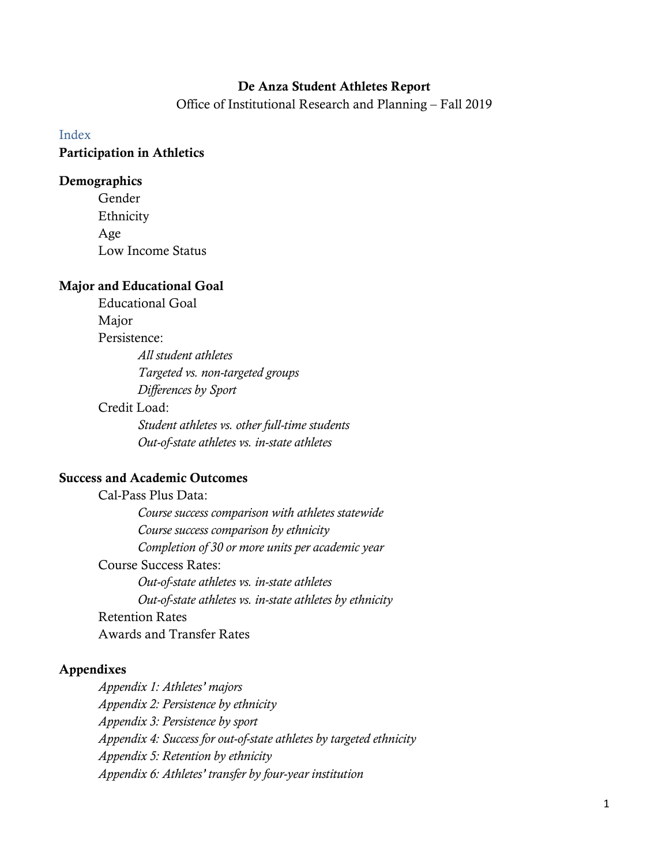#### De Anza Student Athletes Report

Office of Institutional Research and Planning – Fall 2019

#### Index

#### [Participation in Athletics](#page-1-0)

#### **[Demographics](#page-3-0)**

[Gender](#page-3-1) [Ethnicity](#page-3-2) [Age](#page-4-0) [Low Income Status](#page-4-1)

#### [Major and Educational Goal](#page-5-0)

[Educational Goal](#page-5-1) [Major](#page-5-2) [Persistence:](#page-6-0)

> *[All student athletes](#page-6-0) [Targeted vs. non-targeted groups](#page-7-0) [Differences by Sport](#page-8-0)*

#### [Credit Load:](#page-9-0)

*[Student athletes vs. other full-time students](#page-9-0) [Out-of-state athletes vs. in-state](#page-10-0) athletes*

#### [Success and Academic Outcomes](#page-11-0)

[Cal-Pass Plus Data:](#page-11-1) *[Course success comparison with athletes statewide](#page-11-1) [Course success comparison by ethnicity](#page-11-2) [Completion of 30 or more units per academic year](#page-12-0)* [Course Success Rates:](#page-13-0) *[Out-of-state athletes vs. in-state](#page-13-0) athletes [Out-of-state athletes vs. in-state](#page-14-0) athletes by ethnicity* [Retention Rates](#page-14-1) [Awards and Transfer Rates](#page-16-0)

#### [Appendixes](#page-18-0)

*[Appendix 1: Athletes'](#page-18-0) majors [Appendix 2: Persistence by ethnicity](#page-21-0) [Appendix 3: Persistence by sport](#page-22-0) [Appendix 4: Success for out-of-state athletes by targeted ethnicity](#page-24-0) [Appendix 5: Retention by ethnicity](#page-25-0) [Appendix 6: Athletes' transfer by four-year institution](#page-26-0)*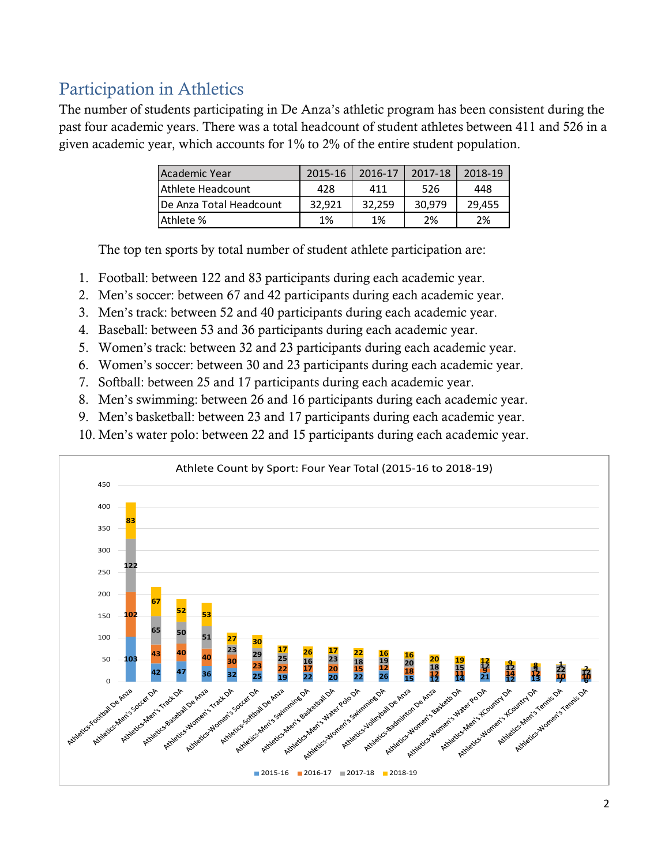# <span id="page-1-0"></span>Participation in Athletics

The number of students participating in De Anza's athletic program has been consistent during the past four academic years. There was a total headcount of student athletes between 411 and 526 in a given academic year, which accounts for 1% to 2% of the entire student population.

| Academic Year                   | $2015 - 16$ | 2016-17 | 2017-18 | 2018-19 |
|---------------------------------|-------------|---------|---------|---------|
| l Athlete Headcount             | 428         | 411     | 526     | 448     |
| <b>IDe Anza Total Headcount</b> | 32.921      | 32.259  | 30.979  | 29,455  |
| lAthlete %                      | 1%          | 1%      | 2%      | 2%      |

The top ten sports by total number of student athlete participation are:

- 1. Football: between 122 and 83 participants during each academic year.
- 2. Men's soccer: between 67 and 42 participants during each academic year.
- 3. Men's track: between 52 and 40 participants during each academic year.
- 4. Baseball: between 53 and 36 participants during each academic year.
- 5. Women's track: between 32 and 23 participants during each academic year.
- 6. Women's soccer: between 30 and 23 participants during each academic year.
- 7. Softball: between 25 and 17 participants during each academic year.
- 8. Men's swimming: between 26 and 16 participants during each academic year.
- 9. Men's basketball: between 23 and 17 participants during each academic year.

10. Men's water polo: between 22 and 15 participants during each academic year.

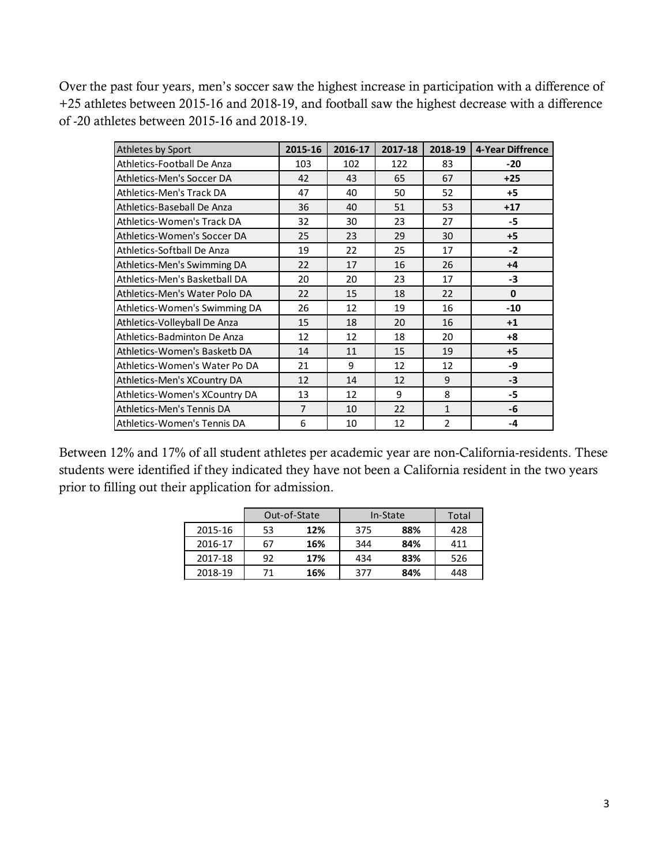Over the past four years, men's soccer saw the highest increase in participation with a difference of +25 athletes between 2015-16 and 2018-19, and football saw the highest decrease with a difference of -20 athletes between 2015-16 and 2018-19.

| Athletes by Sport             | 2015-16        | 2016-17 | 2017-18 | 2018-19        | 4-Year Diffrence |
|-------------------------------|----------------|---------|---------|----------------|------------------|
| Athletics-Football De Anza    | 103            | 102     | 122     | 83             | -20              |
| Athletics-Men's Soccer DA     | 42             | 43      | 65      | 67             | $+25$            |
| Athletics-Men's Track DA      | 47             | 40      | 50      | 52             | $+5$             |
| Athletics-Baseball De Anza    | 36             | 40      | 51      | 53             | $+17$            |
| Athletics-Women's Track DA    | 32             | 30      | 23      | 27             | -5               |
| Athletics-Women's Soccer DA   | 25             | 23      | 29      | 30             | $+5$             |
| Athletics-Softball De Anza    | 19             | 22      | 25      | 17             | $-2$             |
| Athletics-Men's Swimming DA   | 22             | 17      | 16      | 26             | $+4$             |
| Athletics-Men's Basketball DA | 20             | 20      | 23      | 17             | -3               |
| Athletics-Men's Water Polo DA | 22             | 15      | 18      | 22             | $\mathbf{0}$     |
| Athletics-Women's Swimming DA | 26             | 12      | 19      | 16             | $-10$            |
| Athletics-Volleyball De Anza  | 15             | 18      | 20      | 16             | $+1$             |
| Athletics-Badminton De Anza   | 12             | 12      | 18      | 20             | +8               |
| Athletics-Women's Basketb DA  | 14             | 11      | 15      | 19             | $+5$             |
| Athletics-Women's Water Po DA | 21             | 9       | 12      | 12             | -9               |
| Athletics-Men's XCountry DA   | 12             | 14      | 12      | 9              | $-3$             |
| Athletics-Women's XCountry DA | 13             | 12      | 9       | 8              | -5               |
| Athletics-Men's Tennis DA     | $\overline{7}$ | 10      | 22      | $\mathbf{1}$   | -6               |
| Athletics-Women's Tennis DA   | 6              | 10      | 12      | $\overline{2}$ | -4               |

Between 12% and 17% of all student athletes per academic year are non-California-residents. These students were identified if they indicated they have not been a California resident in the two years prior to filling out their application for admission.

|         | Out-of-State |     | In-State | Total |     |
|---------|--------------|-----|----------|-------|-----|
| 2015-16 | 53           | 12% | 375      | 88%   | 428 |
| 2016-17 | 67           | 16% | 344      | 84%   | 411 |
| 2017-18 | 92           | 17% | 434      | 83%   | 526 |
| 2018-19 |              | 16% | 377      | 84%   | 448 |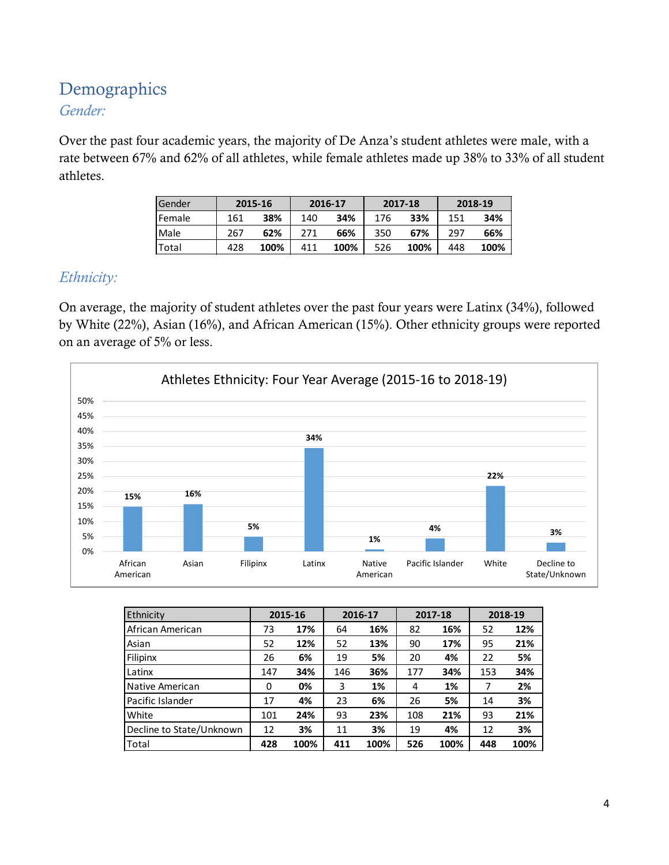# <span id="page-3-0"></span>Demographics

# <span id="page-3-1"></span>*Gender:*

Over the past four academic years, the majority of De Anza's student athletes were male, with a rate between 67% and 62% of all athletes, while female athletes made up 38% to 33% of all student athletes.

| Gender   | 2015-16 |      | 2016-17 |      | 2017-18 |      | 2018-19 |      |
|----------|---------|------|---------|------|---------|------|---------|------|
| l Female | 161     | 38%  | 140     | 34%  | 176     | 33%  | 151     | 34%  |
| Male     | 267     | 62%  | 271     | 66%  | 350     | 67%  | 297     | 66%  |
| Total    | 428     | 100% | 411     | 100% | 526     | 100% | 448     | 100% |

### <span id="page-3-2"></span>*Ethnicity:*

On average, the majority of student athletes over the past four years were Latinx (34%), followed by White (22%), Asian (16%), and African American (15%). Other ethnicity groups were reported on an average of 5% or less.



| Ethnicity                |     | 2015-16 |     | 2016-17 |     | 2017-18 |     | 2018-19 |
|--------------------------|-----|---------|-----|---------|-----|---------|-----|---------|
| African American         | 73  | 17%     | 64  | 16%     | 82  | 16%     | 52  | 12%     |
| Asian                    | 52  | 12%     | 52  | 13%     | 90  | 17%     | 95  | 21%     |
| Filipinx                 | 26  | 6%      | 19  | 5%      | 20  | 4%      | 22  | 5%      |
| Latinx                   | 147 | 34%     | 146 | 36%     | 177 | 34%     | 153 | 34%     |
| Native American          | 0   | 0%      | 3   | 1%      | 4   | 1%      |     | 2%      |
| Pacific Islander         | 17  | 4%      | 23  | 6%      | 26  | 5%      | 14  | 3%      |
| White                    | 101 | 24%     | 93  | 23%     | 108 | 21%     | 93  | 21%     |
| Decline to State/Unknown | 12  | 3%      | 11  | 3%      | 19  | 4%      | 12  | 3%      |
| Total                    | 428 | 100%    | 411 | 100%    | 526 | 100%    | 448 | 100%    |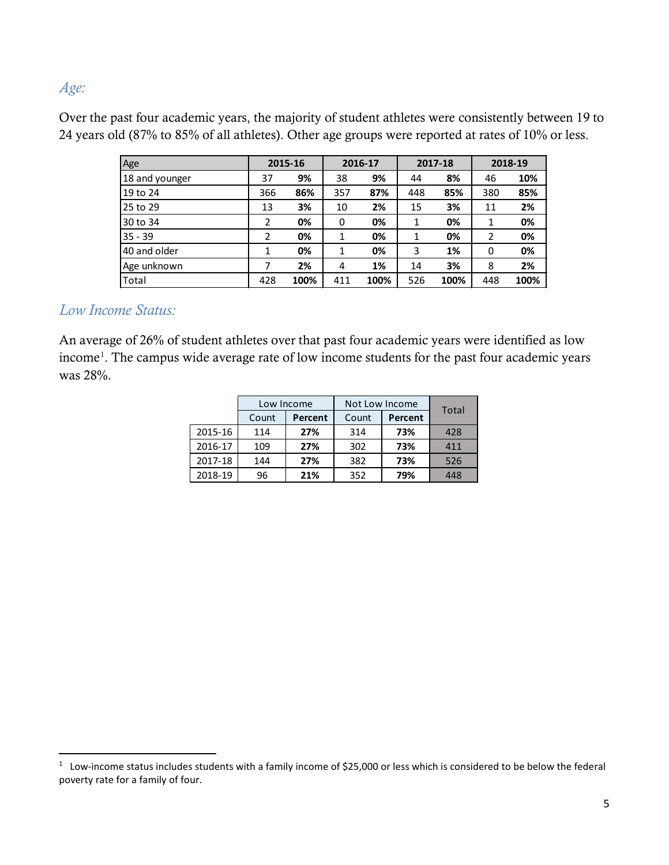#### <span id="page-4-0"></span>*Age:*

Over the past four academic years, the majority of student athletes were consistently between 19 to 24 years old (87% to 85% of all athletes). Other age groups were reported at rates of 10% or less.

| Age            |     | 2015-16 |     | 2016-17 |     | 2017-18 |     | 2018-19 |
|----------------|-----|---------|-----|---------|-----|---------|-----|---------|
| 18 and younger | 37  | 9%      | 38  | 9%      | 44  | 8%      | 46  | 10%     |
| 19 to 24       | 366 | 86%     | 357 | 87%     | 448 | 85%     | 380 | 85%     |
| 25 to 29       | 13  | 3%      | 10  | 2%      | 15  | 3%      | 11  | 2%      |
| 30 to 34       | 2   | 0%      | 0   | 0%      | 1   | 0%      | 1   | 0%      |
| $35 - 39$      | 2   | 0%      | 1   | 0%      | 1   | 0%      | 2   | 0%      |
| 40 and older   | 1   | 0%      | 1   | 0%      | 3   | 1%      | 0   | 0%      |
| Age unknown    | 7   | 2%      | 4   | 1%      | 14  | 3%      | 8   | 2%      |
| Total          | 428 | 100%    | 411 | 100%    | 526 | 100%    | 448 | 100%    |

#### <span id="page-4-1"></span>*Low Income Status:*

An average of 26% of student athletes over that past four academic years were identified as low income<sup>[1](#page-4-2)</sup>. The campus wide average rate of low income students for the past four academic years was 28%.

|         | Low Income |         |       | Not Low Income | Total |
|---------|------------|---------|-------|----------------|-------|
|         | Count      | Percent | Count | Percent        |       |
| 2015-16 | 114        | 27%     | 314   | 73%            | 428   |
| 2016-17 | 109        | 27%     | 302   | 73%            | 411   |
| 2017-18 | 144        | 27%     | 382   | 73%            | 526   |
| 2018-19 | 96         | 21%     | 352   | 79%            | 448   |

<span id="page-4-2"></span><sup>&</sup>lt;sup>1</sup> Low-income status includes students with a family income of \$25,000 or less which is considered to be below the federal poverty rate for a family of four.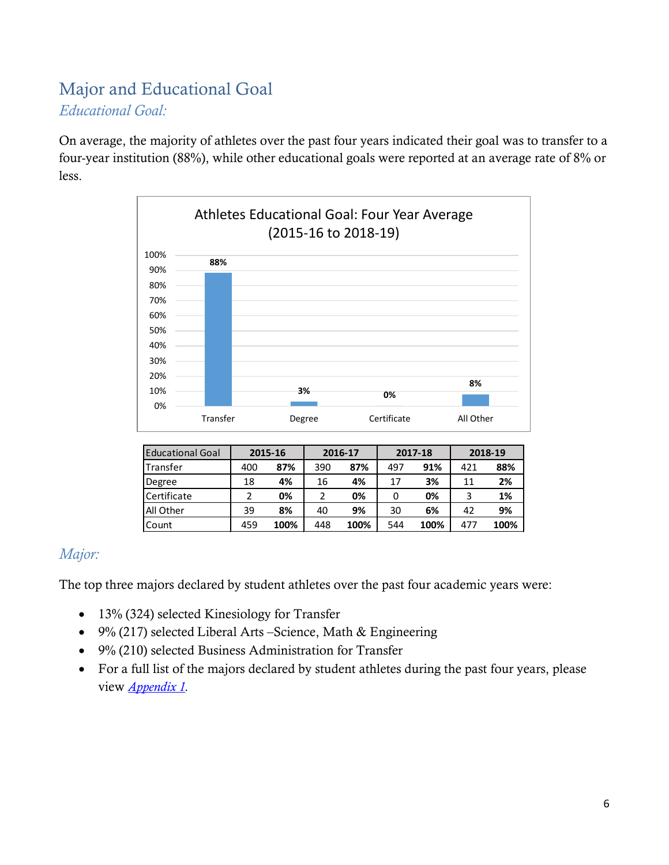# <span id="page-5-0"></span>Major and Educational Goal

<span id="page-5-1"></span>*Educational Goal:*

On average, the majority of athletes over the past four years indicated their goal was to transfer to a four-year institution (88%), while other educational goals were reported at an average rate of 8% or less.



| <b>Educational Goal</b> |     | 2015-16 |     | 2016-17 |     | 2017-18 |     | 2018-19 |
|-------------------------|-----|---------|-----|---------|-----|---------|-----|---------|
| Transfer                | 400 | 87%     | 390 | 87%     | 497 | 91%     | 421 | 88%     |
| Degree                  | 18  | 4%      | 16  | 4%      | 17  | 3%      | 11  | 2%      |
| Certificate             |     | 0%      |     | 0%      | 0   | 0%      |     | 1%      |
| <b>All Other</b>        | 39  | 8%      | 40  | 9%      | 30  | 6%      | 42  | 9%      |
| Count                   | 459 | 100%    | 448 | 100%    | 544 | 100%    | 477 | 100%    |

# <span id="page-5-2"></span>*Major:*

The top three majors declared by student athletes over the past four academic years were:

- 13% (324) selected Kinesiology for Transfer
- 9% (217) selected Liberal Arts –Science, Math & Engineering
- 9% (210) selected Business Administration for Transfer
- For a full list of the majors declared by student athletes during the past four years, please view *[Appendix 1.](#page-18-0)*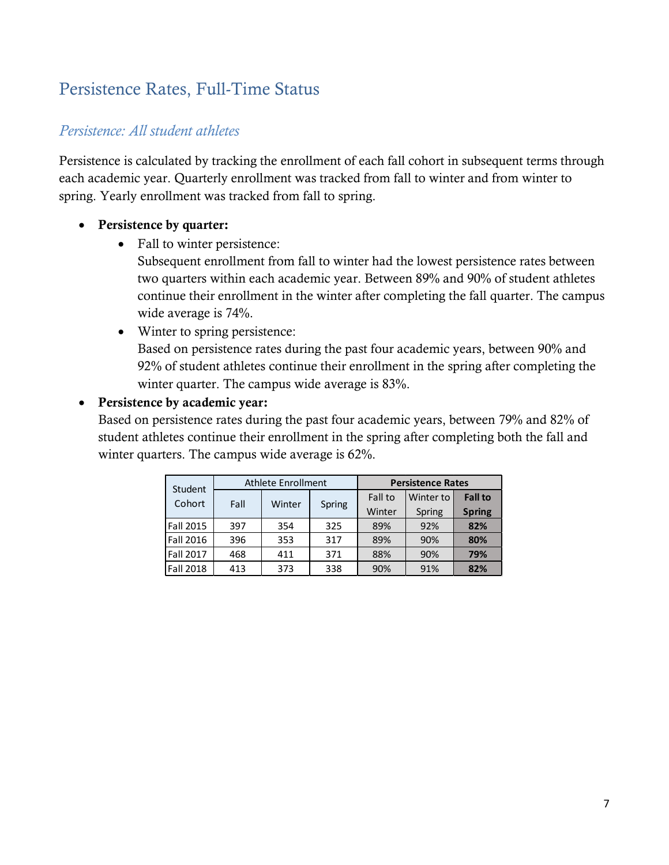# <span id="page-6-0"></span>Persistence Rates, Full-Time Status

### *Persistence: All student athletes*

Persistence is calculated by tracking the enrollment of each fall cohort in subsequent terms through each academic year. Quarterly enrollment was tracked from fall to winter and from winter to spring. Yearly enrollment was tracked from fall to spring.

- Persistence by quarter:
	- Fall to winter persistence:

Subsequent enrollment from fall to winter had the lowest persistence rates between two quarters within each academic year. Between 89% and 90% of student athletes continue their enrollment in the winter after completing the fall quarter. The campus wide average is 74%.

• Winter to spring persistence:

Based on persistence rates during the past four academic years, between 90% and 92% of student athletes continue their enrollment in the spring after completing the winter quarter. The campus wide average is 83%.

#### • Persistence by academic year:

Based on persistence rates during the past four academic years, between 79% and 82% of student athletes continue their enrollment in the spring after completing both the fall and winter quarters. The campus wide average is 62%.

| Student          |      | Athlete Enrollment |        |         | <b>Persistence Rates</b> |                |  |
|------------------|------|--------------------|--------|---------|--------------------------|----------------|--|
| Cohort           | Fall |                    |        | Fall to | Winter to                | <b>Fall to</b> |  |
|                  |      | Winter             | Spring | Winter  | Spring                   | <b>Spring</b>  |  |
| <b>Fall 2015</b> | 397  | 354                | 325    | 89%     | 92%                      | 82%            |  |
| <b>Fall 2016</b> | 396  | 353                | 317    | 89%     | 90%                      | 80%            |  |
| <b>Fall 2017</b> | 468  | 411                | 371    | 88%     | 90%                      | 79%            |  |
| <b>Fall 2018</b> | 413  | 373                | 338    | 90%     | 91%                      | 82%            |  |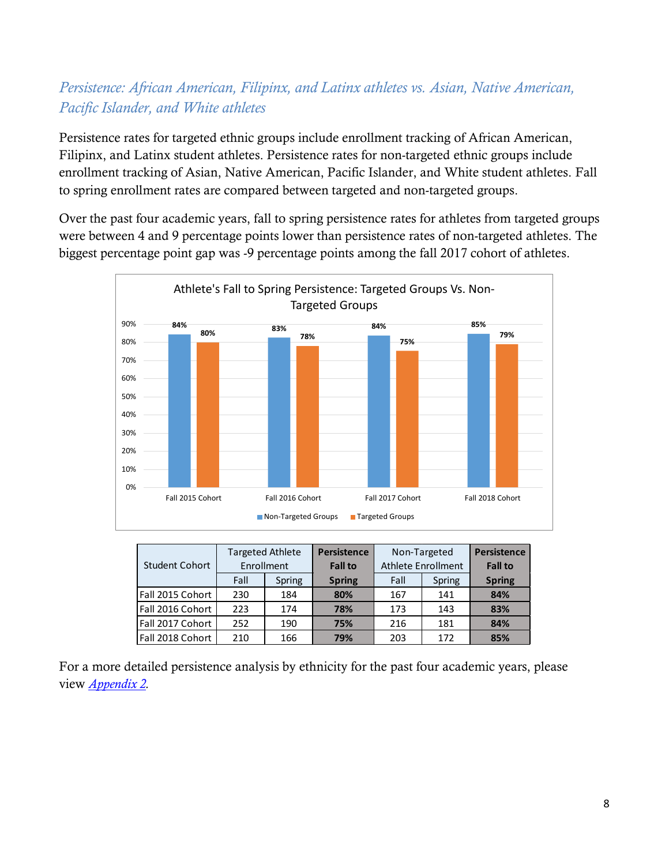# <span id="page-7-0"></span>*Persistence: African American, Filipinx, and Latinx athletes vs. Asian, Native American, Pacific Islander, and White athletes*

Persistence rates for targeted ethnic groups include enrollment tracking of African American, Filipinx, and Latinx student athletes. Persistence rates for non-targeted ethnic groups include enrollment tracking of Asian, Native American, Pacific Islander, and White student athletes. Fall to spring enrollment rates are compared between targeted and non-targeted groups.

Over the past four academic years, fall to spring persistence rates for athletes from targeted groups were between 4 and 9 percentage points lower than persistence rates of non-targeted athletes. The biggest percentage point gap was -9 percentage points among the fall 2017 cohort of athletes.



|                       |                   | <b>Targeted Athlete</b> | <b>Persistence</b> | Non-Targeted              | Persistence   |                |
|-----------------------|-------------------|-------------------------|--------------------|---------------------------|---------------|----------------|
| <b>Student Cohort</b> | <b>Enrollment</b> |                         | <b>Fall to</b>     | <b>Athlete Enrollment</b> |               | <b>Fall to</b> |
|                       | Fall              | <b>Spring</b>           | <b>Spring</b>      | Fall                      | <b>Spring</b> | <b>Spring</b>  |
| Fall 2015 Cohort      | 230               | 184                     | 80%                | 167                       | 141           | 84%            |
| Fall 2016 Cohort      | 223               | 174                     | 78%                | 173                       | 143           | 83%            |
| Fall 2017 Cohort      | 252               | 190                     | 75%                | 216                       | 181           | 84%            |
| Fall 2018 Cohort      | 210               | 166                     | 79%                | 203                       | 172           | 85%            |

For a more detailed persistence analysis by ethnicity for the past four academic years, please view *[Appendix 2.](#page-21-0)*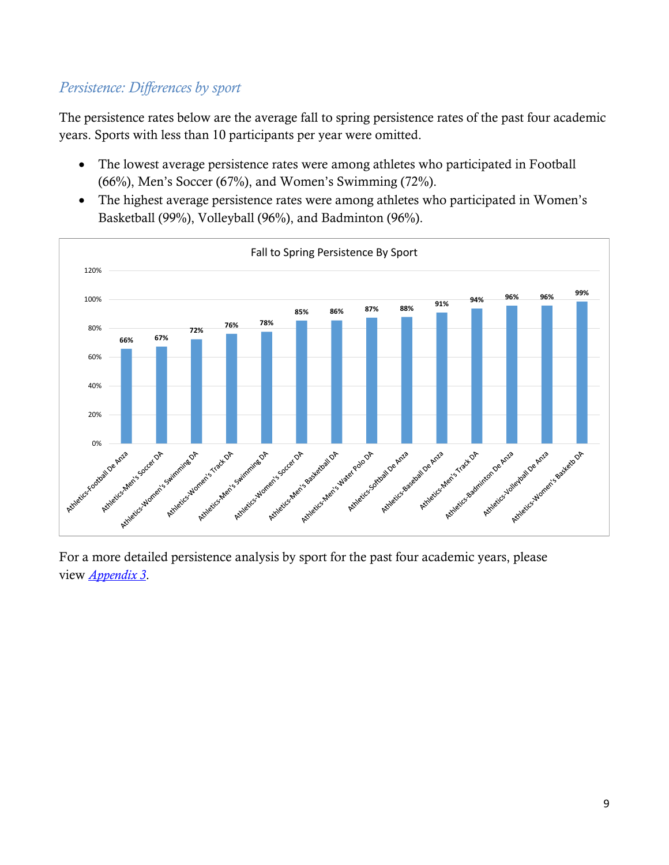## <span id="page-8-0"></span>*Persistence: Differences by sport*

The persistence rates below are the average fall to spring persistence rates of the past four academic years. Sports with less than 10 participants per year were omitted.

- The lowest average persistence rates were among athletes who participated in Football (66%), Men's Soccer (67%), and Women's Swimming (72%).
- The highest average persistence rates were among athletes who participated in Women's Basketball (99%), Volleyball (96%), and Badminton (96%).



For a more detailed persistence analysis by sport for the past four academic years, please view *[Appendix 3](#page-22-0)*.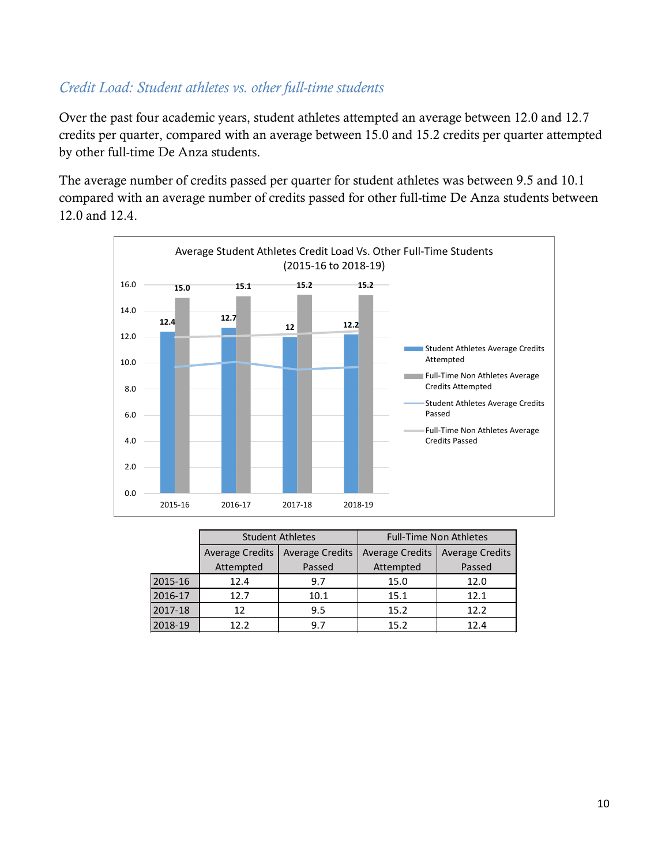# <span id="page-9-0"></span>*Credit Load: Student athletes vs. other full-time students*

Over the past four academic years, student athletes attempted an average between 12.0 and 12.7 credits per quarter, compared with an average between 15.0 and 15.2 credits per quarter attempted by other full-time De Anza students.

The average number of credits passed per quarter for student athletes was between 9.5 and 10.1 compared with an average number of credits passed for other full-time De Anza students between 12.0 and 12.4.



|         |                                                  | <b>Student Athletes</b> | <b>Full-Time Non Athletes</b> |                        |  |
|---------|--------------------------------------------------|-------------------------|-------------------------------|------------------------|--|
|         | <b>Average Credits</b><br><b>Average Credits</b> |                         | <b>Average Credits</b>        | <b>Average Credits</b> |  |
|         | Attempted                                        | Passed                  | Attempted                     | Passed                 |  |
| 2015-16 | 12.4                                             | 9.7                     | 15.0                          | 12.0                   |  |
| 2016-17 | 12.7                                             | 10.1                    | 15.1                          | 12.1                   |  |
| 2017-18 | 12                                               | 9.5                     | 15.2                          | 12.2                   |  |
| 2018-19 | 12.2                                             | 9.7                     | 15.2                          | 12.4                   |  |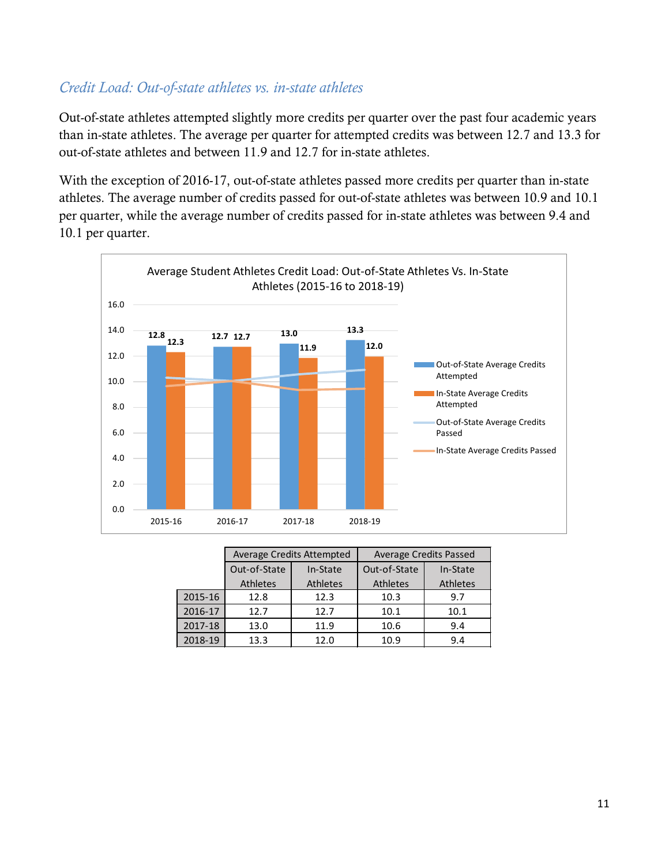## <span id="page-10-0"></span>*Credit Load: Out-of-state athletes vs. in-state athletes*

Out-of-state athletes attempted slightly more credits per quarter over the past four academic years than in-state athletes. The average per quarter for attempted credits was between 12.7 and 13.3 for out-of-state athletes and between 11.9 and 12.7 for in-state athletes.

With the exception of 2016-17, out-of-state athletes passed more credits per quarter than in-state athletes. The average number of credits passed for out-of-state athletes was between 10.9 and 10.1 per quarter, while the average number of credits passed for in-state athletes was between 9.4 and 10.1 per quarter.



|         |                 | Average Credits Attempted | <b>Average Credits Passed</b> |          |  |
|---------|-----------------|---------------------------|-------------------------------|----------|--|
|         | Out-of-State    | In-State                  | Out-of-State                  | In-State |  |
|         | <b>Athletes</b> | <b>Athletes</b>           | Athletes                      | Athletes |  |
| 2015-16 | 12.8            | 12.3                      | 10.3                          | 9.7      |  |
| 2016-17 | 12.7            | 12.7                      | 10.1                          | 10.1     |  |
| 2017-18 | 13.0            | 11.9                      | 10.6                          | 9.4      |  |
| 2018-19 | 13.3            | 12.0                      | 10.9                          | 9.4      |  |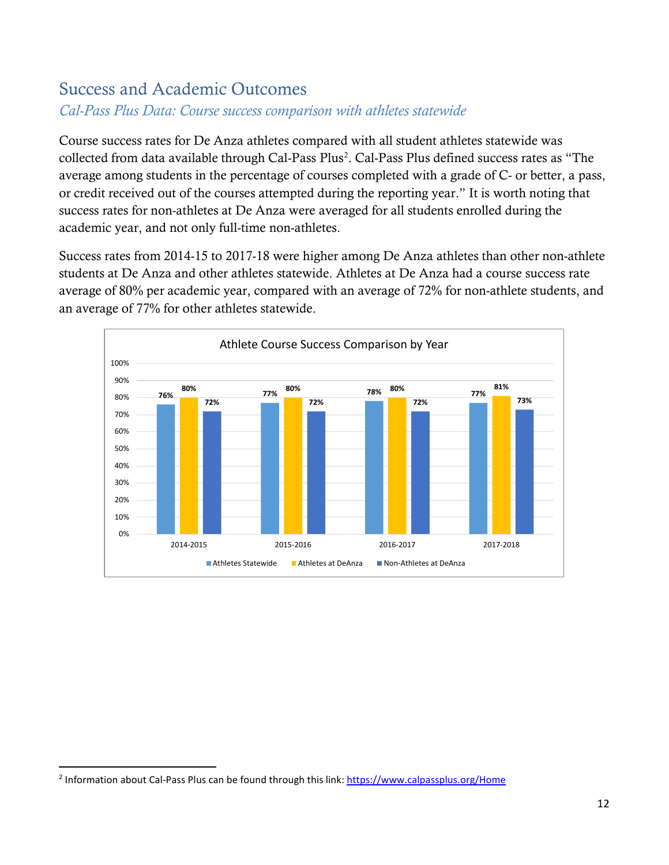# <span id="page-11-0"></span>Success and Academic Outcomes

## <span id="page-11-1"></span>*Cal-Pass Plus Data: Course success comparison with athletes statewide*

Course success rates for De Anza athletes compared with all student athletes statewide was collected from data available through Cal-Pass Plus<sup>[2](#page-11-3)</sup>. Cal-Pass Plus defined success rates as "The average among students in the percentage of courses completed with a grade of C- or better, a pass, or credit received out of the courses attempted during the reporting year." It is worth noting that success rates for non-athletes at De Anza were averaged for all students enrolled during the academic year, and not only full-time non-athletes.

Success rates from 2014-15 to 2017-18 were higher among De Anza athletes than other non-athlete students at De Anza and other athletes statewide. Athletes at De Anza had a course success rate average of 80% per academic year, compared with an average of 72% for non-athlete students, and an average of 77% for other athletes statewide.



<span id="page-11-3"></span><span id="page-11-2"></span><sup>&</sup>lt;sup>2</sup> Information about Cal-Pass Plus can be found through this link[: https://www.calpassplus.org/Home](https://www.calpassplus.org/Home)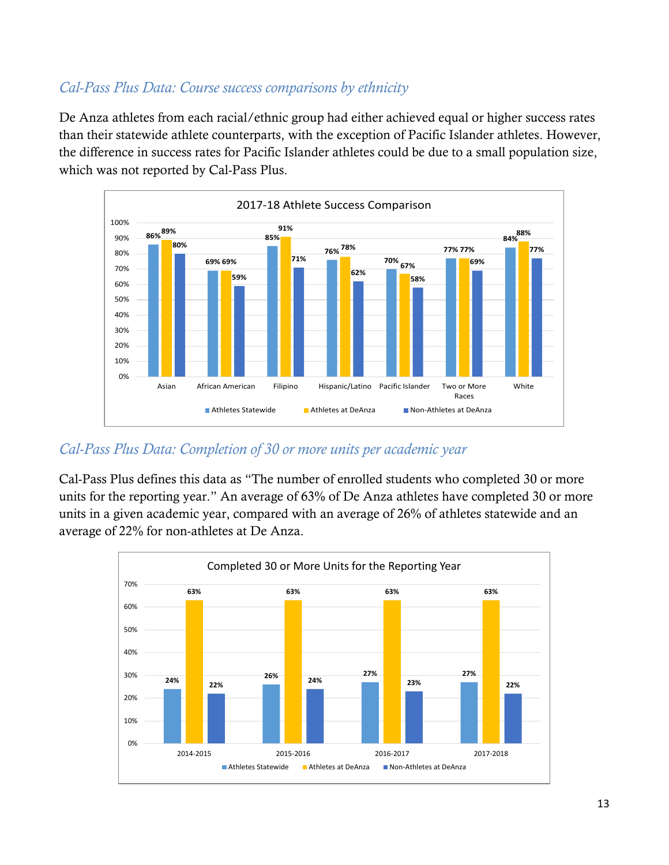## *Cal-Pass Plus Data: Course success comparisons by ethnicity*

De Anza athletes from each racial/ethnic group had either achieved equal or higher success rates than their statewide athlete counterparts, with the exception of Pacific Islander athletes. However, the difference in success rates for Pacific Islander athletes could be due to a small population size, which was not reported by Cal-Pass Plus.



#### <span id="page-12-0"></span>*Cal-Pass Plus Data: Completion of 30 or more units per academic year*

Cal-Pass Plus defines this data as "The number of enrolled students who completed 30 or more units for the reporting year." An average of 63% of De Anza athletes have completed 30 or more units in a given academic year, compared with an average of 26% of athletes statewide and an average of 22% for non-athletes at De Anza.

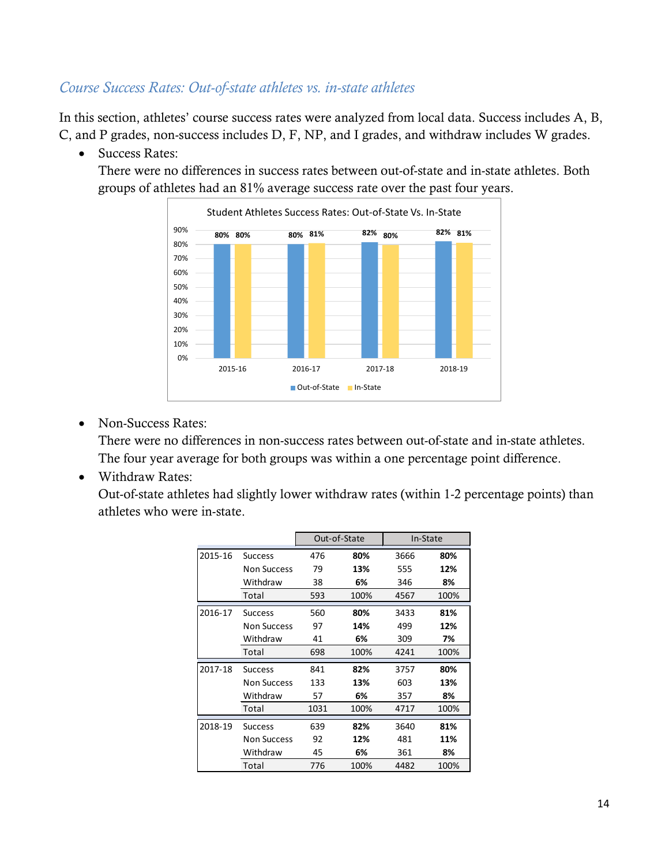### <span id="page-13-0"></span>*Course Success Rates: Out-of-state athletes vs. in-state athletes*

In this section, athletes' course success rates were analyzed from local data. Success includes A, B, C, and P grades, non-success includes D, F, NP, and I grades, and withdraw includes W grades.

• Success Rates:

There were no differences in success rates between out-of-state and in-state athletes. Both groups of athletes had an 81% average success rate over the past four years.



• Non-Success Rates:

There were no differences in non-success rates between out-of-state and in-state athletes. The four year average for both groups was within a one percentage point difference.

• Withdraw Rates:

Out-of-state athletes had slightly lower withdraw rates (within 1-2 percentage points) than athletes who were in-state.

|         |                    |      | Out-of-State |      | In-State |
|---------|--------------------|------|--------------|------|----------|
| 2015-16 | <b>Success</b>     | 476  | 80%          | 3666 | 80%      |
|         | <b>Non Success</b> | 79   | 13%          | 555  | 12%      |
|         | Withdraw           | 38   | 6%           | 346  | 8%       |
|         | Total              | 593  | 100%         | 4567 | 100%     |
| 2016-17 | <b>Success</b>     | 560  | 80%          | 3433 | 81%      |
|         | <b>Non Success</b> | 97   | 14%          | 499  | 12%      |
|         | Withdraw           | 41   | 6%           | 309  | 7%       |
|         | Total              | 698  | 100%         | 4241 | 100%     |
| 2017-18 | <b>Success</b>     | 841  | 82%          | 3757 | 80%      |
|         | <b>Non Success</b> | 133  | 13%          | 603  | 13%      |
|         | Withdraw           | 57   | 6%           | 357  | 8%       |
|         | Total              | 1031 | 100%         | 4717 | 100%     |
| 2018-19 | <b>Success</b>     | 639  | 82%          | 3640 | 81%      |
|         | <b>Non Success</b> | 92   | 12%          | 481  | 11%      |
|         | Withdraw           | 45   | 6%           | 361  | 8%       |
|         | Total              | 776  | 100%         | 4482 | 100%     |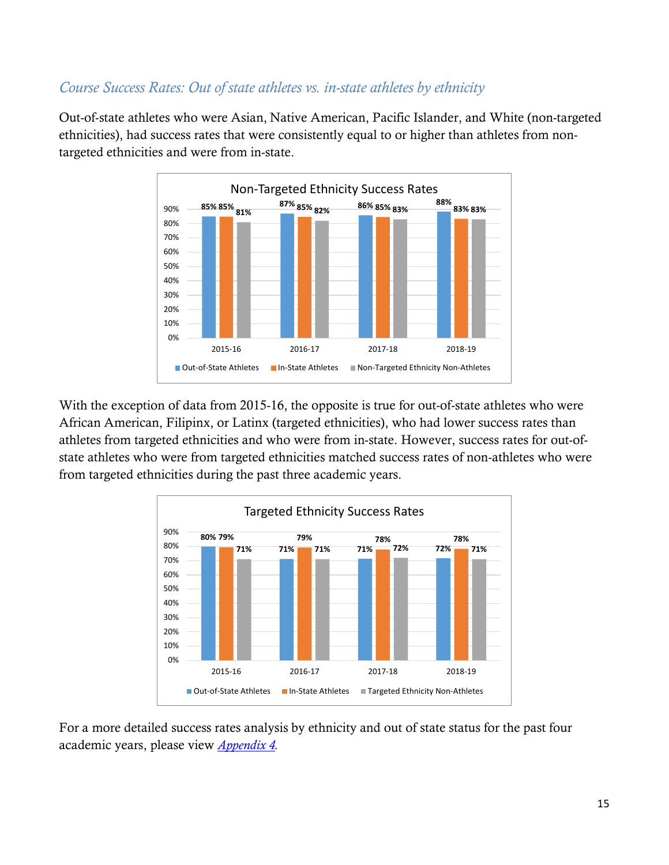### <span id="page-14-0"></span>*Course Success Rates: Out of state athletes vs. in-state athletes by ethnicity*

Out-of-state athletes who were Asian, Native American, Pacific Islander, and White (non-targeted ethnicities), had success rates that were consistently equal to or higher than athletes from nontargeted ethnicities and were from in-state.



With the exception of data from 2015-16, the opposite is true for out-of-state athletes who were African American, Filipinx, or Latinx (targeted ethnicities), who had lower success rates than athletes from targeted ethnicities and who were from in-state. However, success rates for out-ofstate athletes who were from targeted ethnicities matched success rates of non-athletes who were from targeted ethnicities during the past three academic years.



<span id="page-14-1"></span>For a more detailed success rates analysis by ethnicity and out of state status for the past four academic years, please view *[Appendix 4.](#page-24-0)*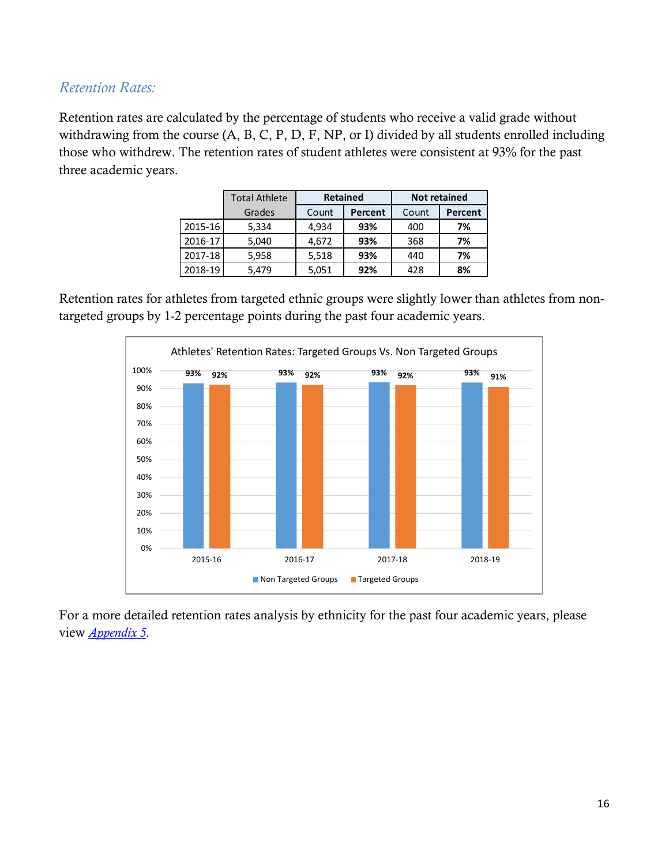#### *Retention Rates:*

Retention rates are calculated by the percentage of students who receive a valid grade without withdrawing from the course (A, B, C, P, D, F, NP, or I) divided by all students enrolled including those who withdrew. The retention rates of student athletes were consistent at 93% for the past three academic years.

|         | <b>Total Athlete</b> |       | <b>Retained</b> | <b>Not retained</b> |         |  |
|---------|----------------------|-------|-----------------|---------------------|---------|--|
|         | Grades               | Count | Percent         | Count               | Percent |  |
| 2015-16 | 5,334                | 4,934 | 93%             | 400                 | 7%      |  |
| 2016-17 | 5.040                | 4,672 | 93%             | 368                 | 7%      |  |
| 2017-18 | 5,958                | 5,518 | 93%             | 440                 | 7%      |  |
| 2018-19 | 5.479                | 5,051 | 92%             | 428                 | 8%      |  |

Retention rates for athletes from targeted ethnic groups were slightly lower than athletes from nontargeted groups by 1-2 percentage points during the past four academic years.



For a more detailed retention rates analysis by ethnicity for the past four academic years, please view *[Appendix 5](#page-25-0)*.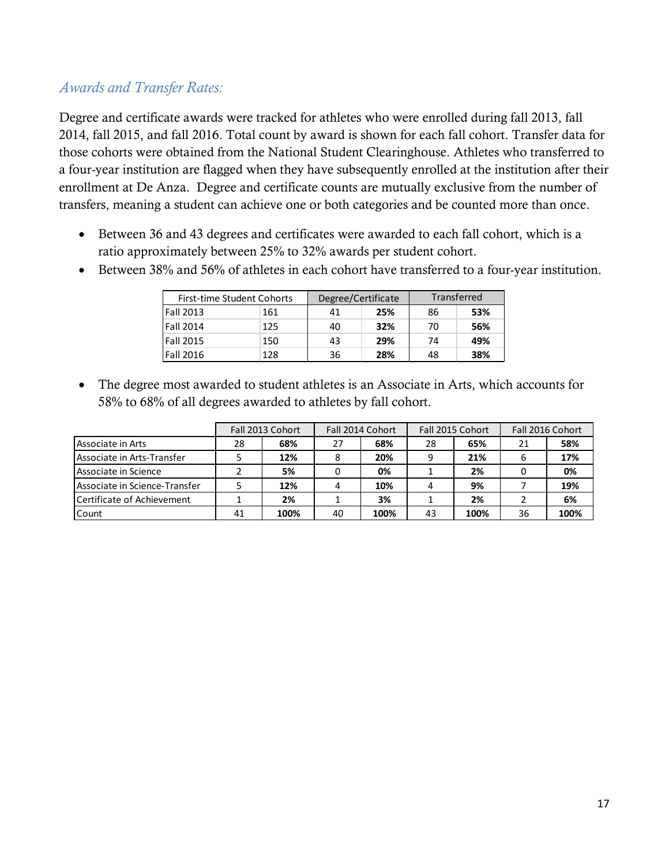#### <span id="page-16-0"></span>*Awards and Transfer Rates:*

Degree and certificate awards were tracked for athletes who were enrolled during fall 2013, fall 2014, fall 2015, and fall 2016. Total count by award is shown for each fall cohort. Transfer data for those cohorts were obtained from the National Student Clearinghouse. Athletes who transferred to a four-year institution are flagged when they have subsequently enrolled at the institution after their enrollment at De Anza. Degree and certificate counts are mutually exclusive from the number of transfers, meaning a student can achieve one or both categories and be counted more than once.

- Between 36 and 43 degrees and certificates were awarded to each fall cohort, which is a ratio approximately between 25% to 32% awards per student cohort.
- Between 38% and 56% of athletes in each cohort have transferred to a four-year institution.

|                  | <b>First-time Student Cohorts</b> |    | Degree/Certificate |    | Transferred |
|------------------|-----------------------------------|----|--------------------|----|-------------|
| <b>Fall 2013</b> | 161                               | 41 | 25%                | 86 | 53%         |
| <b>Fall 2014</b> | 125                               | 40 | 32%                | 70 | 56%         |
| Fall 2015        | 150                               | 43 | 29%                | 74 | 49%         |
| Fall 2016        | 128                               | 36 | 28%                | 48 | 38%         |

• The degree most awarded to student athletes is an Associate in Arts, which accounts for 58% to 68% of all degrees awarded to athletes by fall cohort.

|                               |    | Fall 2013 Cohort |    | Fall 2014 Cohort |    | Fall 2015 Cohort |    | Fall 2016 Cohort |
|-------------------------------|----|------------------|----|------------------|----|------------------|----|------------------|
| Associate in Arts             | 28 | 68%              | 27 | 68%              | 28 | 65%              | 21 | 58%              |
| Associate in Arts-Transfer    |    | 12%              |    | 20%              |    | 21%              | 6  | 17%              |
| Associate in Science          |    | 5%               |    | 0%               |    | 2%               |    | 0%               |
| Associate in Science-Transfer |    | 12%              |    | 10%              |    | 9%               |    | 19%              |
| Certificate of Achievement    |    | 2%               |    | 3%               |    | 2%               |    | 6%               |
| <b>Count</b>                  | 41 | 100%             | 40 | 100%             | 43 | 100%             | 36 | 100%             |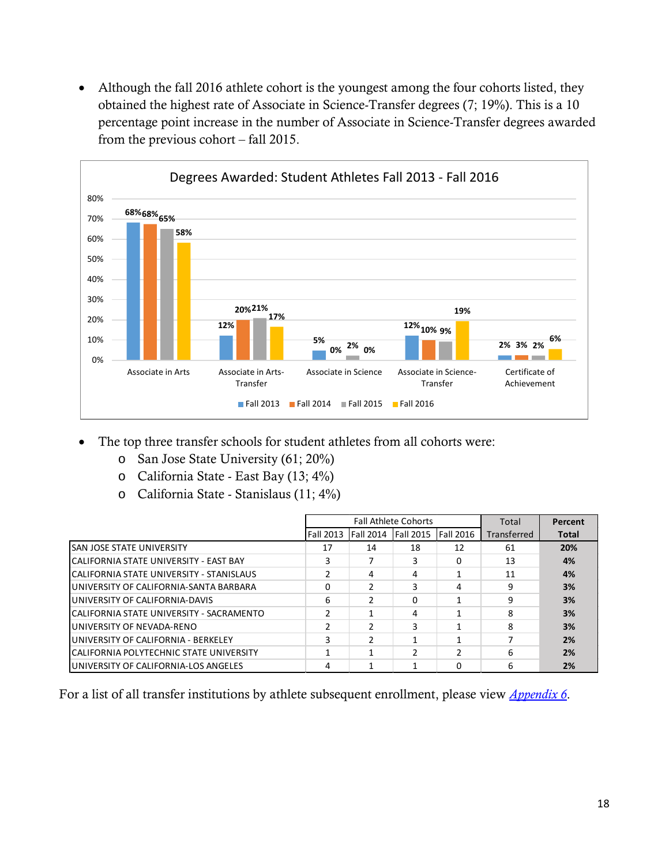• Although the fall 2016 athlete cohort is the youngest among the four cohorts listed, they obtained the highest rate of Associate in Science-Transfer degrees (7; 19%). This is a 10 percentage point increase in the number of Associate in Science-Transfer degrees awarded from the previous cohort – fall 2015.



- The top three transfer schools for student athletes from all cohorts were:
	- o San Jose State University (61; 20%)
	- o California State East Bay (13; 4%)
	- o California State Stanislaus (11; 4%)

|                                          |                  |           | <b>Fall Athlete Cohorts</b> |                  | Total              | Percent |
|------------------------------------------|------------------|-----------|-----------------------------|------------------|--------------------|---------|
|                                          | <b>Fall 2013</b> | Fall 2014 | <b>Fall 2015</b>            | <b>Fall 2016</b> | <b>Transferred</b> | Total   |
| <b>SAN JOSE STATE UNIVERSITY</b>         | 17               | 14        | 18                          | 12               | 61                 | 20%     |
| CALIFORNIA STATE UNIVERSITY - EAST BAY   | 3                |           |                             | 0                | 13                 | 4%      |
| CALIFORNIA STATE UNIVERSITY - STANISLAUS |                  | 4         | 4                           |                  | 11                 | 4%      |
| UNIVERSITY OF CALIFORNIA-SANTA BARBARA   | 0                |           |                             | 4                | 9                  | 3%      |
| UNIVERSITY OF CALIFORNIA-DAVIS           | 6                |           |                             |                  | 9                  | 3%      |
| CALIFORNIA STATE UNIVERSITY - SACRAMENTO |                  |           | 4                           |                  | 8                  | 3%      |
| UNIVERSITY OF NEVADA-RENO                |                  |           | ς                           |                  | 8                  | 3%      |
| UNIVERSITY OF CALIFORNIA - BERKELEY      |                  |           |                             |                  |                    | 2%      |
| CALIFORNIA POLYTECHNIC STATE UNIVERSITY  |                  |           |                             | ำ                | 6                  | 2%      |
| UNIVERSITY OF CALIFORNIA-LOS ANGELES     | 4                |           |                             | $\Omega$         | 6                  | 2%      |

For a list of all transfer institutions by athlete subsequent enrollment, please view *[Appendix 6](#page-26-0)*.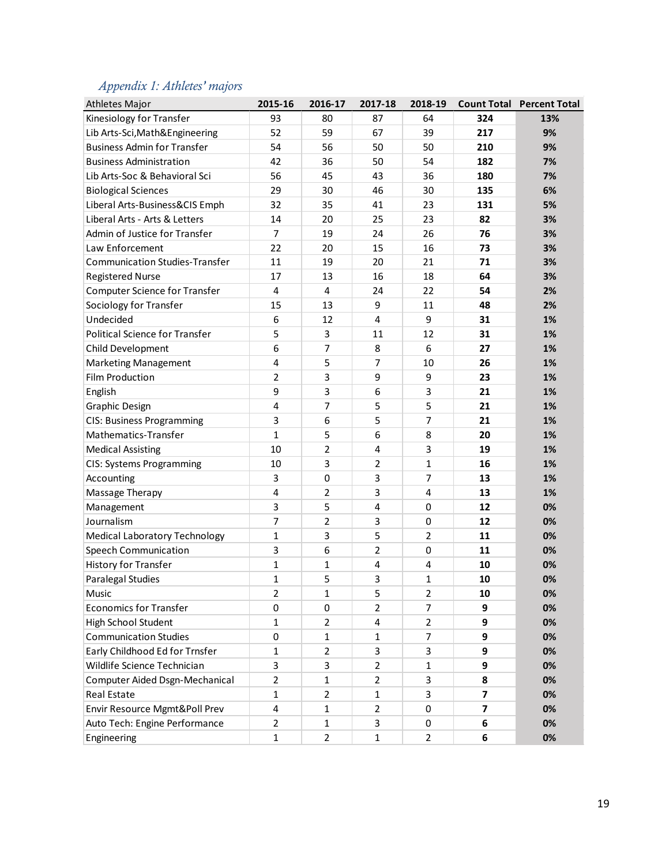# *Appendix 1: Athletes' majors*

<span id="page-18-0"></span>

| <b>Athletes Major</b>                 | 2015-16        | 2016-17        | 2017-18        | 2018-19        |     | <b>Count Total Percent Total</b> |
|---------------------------------------|----------------|----------------|----------------|----------------|-----|----------------------------------|
| Kinesiology for Transfer              | 93             | 80             | 87             | 64             | 324 | 13%                              |
| Lib Arts-Sci, Math & Engineering      | 52             | 59             | 67             | 39             | 217 | 9%                               |
| <b>Business Admin for Transfer</b>    | 54             | 56             | 50             | 50             | 210 | 9%                               |
| <b>Business Administration</b>        | 42             | 36             | 50             | 54             | 182 | 7%                               |
| Lib Arts-Soc & Behavioral Sci         | 56             | 45             | 43             | 36             | 180 | 7%                               |
| <b>Biological Sciences</b>            | 29             | 30             | 46             | 30             | 135 | 6%                               |
| Liberal Arts-Business&CIS Emph        | 32             | 35             | 41             | 23             | 131 | 5%                               |
| Liberal Arts - Arts & Letters         | 14             | 20             | 25             | 23             | 82  | 3%                               |
| Admin of Justice for Transfer         | $\overline{7}$ | 19             | 24             | 26             | 76  | 3%                               |
| Law Enforcement                       | 22             | 20             | 15             | 16             | 73  | 3%                               |
| <b>Communication Studies-Transfer</b> | 11             | 19             | 20             | 21             | 71  | 3%                               |
| <b>Registered Nurse</b>               | 17             | 13             | 16             | 18             | 64  | 3%                               |
| <b>Computer Science for Transfer</b>  | 4              | 4              | 24             | 22             | 54  | 2%                               |
| Sociology for Transfer                | 15             | 13             | 9              | 11             | 48  | 2%                               |
| Undecided                             | 6              | 12             | 4              | 9              | 31  | 1%                               |
| <b>Political Science for Transfer</b> | 5              | 3              | 11             | 12             | 31  | 1%                               |
| Child Development                     | 6              | $\overline{7}$ | 8              | 6              | 27  | 1%                               |
| <b>Marketing Management</b>           | 4              | 5              | $\overline{7}$ | 10             | 26  | 1%                               |
| Film Production                       | $\overline{2}$ | 3              | 9              | 9              | 23  | 1%                               |
| English                               | 9              | 3              | 6              | 3              | 21  | 1%                               |
| <b>Graphic Design</b>                 | 4              | $\overline{7}$ | 5              | 5              | 21  | 1%                               |
| <b>CIS: Business Programming</b>      | 3              | 6              | 5              | $\overline{7}$ | 21  | 1%                               |
| Mathematics-Transfer                  | $\mathbf{1}$   | 5              | 6              | 8              | 20  | 1%                               |
| <b>Medical Assisting</b>              | 10             | $\overline{2}$ | 4              | 3              | 19  | 1%                               |
| CIS: Systems Programming              | 10             | 3              | $\overline{2}$ | 1              | 16  | 1%                               |
| Accounting                            | 3              | $\mathbf 0$    | 3              | $\overline{7}$ | 13  | 1%                               |
| Massage Therapy                       | 4              | $\overline{2}$ | 3              | $\overline{4}$ | 13  | 1%                               |
| Management                            | 3              | 5              | 4              | $\mathbf 0$    | 12  | 0%                               |
| Journalism                            | $\overline{7}$ | $\overline{2}$ | 3              | $\mathbf 0$    | 12  | 0%                               |
| <b>Medical Laboratory Technology</b>  | $\mathbf{1}$   | 3              | 5              | $\overline{2}$ | 11  | 0%                               |
| Speech Communication                  | 3              | 6              | 2              | $\mathbf 0$    | 11  | 0%                               |
| History for Transfer                  | 1              | 1              | 4              | 4              | 10  | 0%                               |
| <b>Paralegal Studies</b>              | 1              | 5              | 3              | $\mathbf 1$    | 10  | 0%                               |
| Music                                 | $\overline{2}$ | 1              | 5              | $\overline{2}$ | 10  | 0%                               |
| <b>Economics for Transfer</b>         | 0              | 0              | $\overline{2}$ | $\overline{7}$ | 9   | 0%                               |
| High School Student                   | 1              | $\overline{2}$ | 4              | $\overline{2}$ | 9   | 0%                               |
| <b>Communication Studies</b>          | 0              | $\mathbf{1}$   | 1              | 7              | 9   | 0%                               |
| Early Childhood Ed for Trnsfer        | 1              | $\overline{2}$ | 3              | 3              | 9   | 0%                               |
| Wildlife Science Technician           | 3              | 3              | $\overline{2}$ | $\mathbf{1}$   | 9   | 0%                               |
| Computer Aided Dsgn-Mechanical        | $\overline{2}$ | $\mathbf{1}$   | $\overline{2}$ | 3              | 8   | 0%                               |
| <b>Real Estate</b>                    | 1              | $\overline{2}$ | 1              | 3              | 7   | 0%                               |
| Envir Resource Mgmt&Poll Prev         | 4              | $\mathbf{1}$   | $\overline{2}$ | $\mathbf 0$    | 7   | 0%                               |
| Auto Tech: Engine Performance         | $\overline{2}$ | $\mathbf{1}$   | 3              | 0              | 6   | 0%                               |
| Engineering                           | $\mathbf 1$    | $\overline{2}$ | $\mathbf{1}$   | $\overline{2}$ | 6   | 0%                               |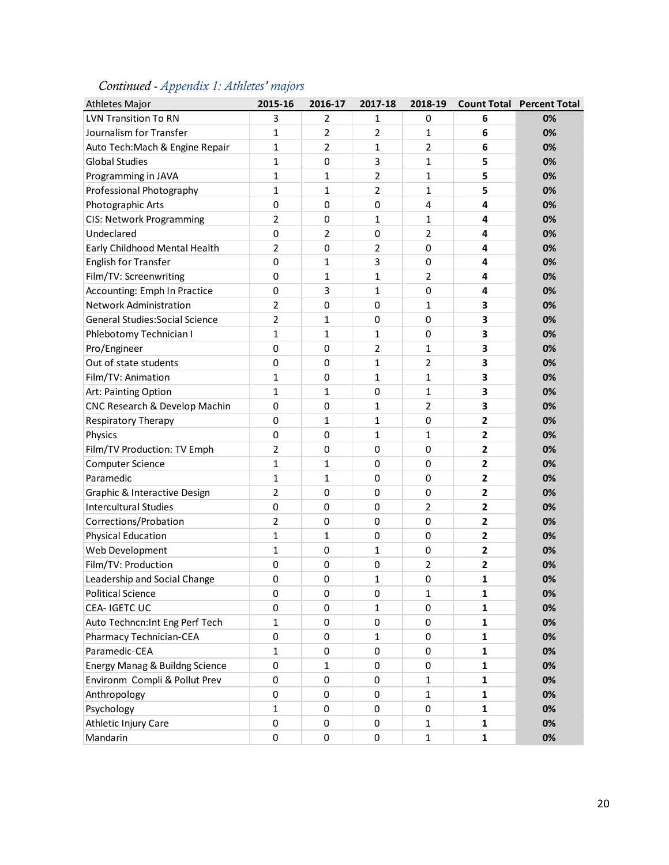| <b>Athletes Major</b>                  | 2015-16        | 2016-17        | 2017-18          | 2018-19        |                | <b>Count Total Percent Total</b> |
|----------------------------------------|----------------|----------------|------------------|----------------|----------------|----------------------------------|
| <b>LVN Transition To RN</b>            | 3              | 2              | $\mathbf{1}$     | $\mathbf 0$    | 6              | 0%                               |
| Journalism for Transfer                | 1              | 2              | 2                | 1              | 6              | 0%                               |
| Auto Tech: Mach & Engine Repair        | 1              | $\overline{2}$ | $\mathbf{1}$     | $\overline{2}$ | 6              | 0%                               |
| <b>Global Studies</b>                  | 1              | 0              | 3                | 1              | 5              | 0%                               |
| Programming in JAVA                    | 1              | 1              | $\overline{2}$   | 1              | 5              | 0%                               |
| Professional Photography               | $\mathbf{1}$   | $\mathbf{1}$   | $\overline{2}$   | $\mathbf{1}$   | 5              | 0%                               |
| Photographic Arts                      | 0              | 0              | 0                | 4              | 4              | 0%                               |
| CIS: Network Programming               | $\overline{2}$ | 0              | 1                | 1              | 4              | 0%                               |
| Undeclared                             | 0              | 2              | 0                | $\overline{2}$ | 4              | 0%                               |
| Early Childhood Mental Health          | $\overline{2}$ | 0              | 2                | 0              | 4              | 0%                               |
| English for Transfer                   | $\pmb{0}$      | $\mathbf{1}$   | 3                | $\mathbf 0$    | 4              | 0%                               |
| Film/TV: Screenwriting                 | 0              | 1              | 1                | 2              | 4              | 0%                               |
| Accounting: Emph In Practice           | 0              | 3              | 1                | 0              | 4              | 0%                               |
| <b>Network Administration</b>          | $\overline{2}$ | 0              | $\boldsymbol{0}$ | 1              | 3              | 0%                               |
| <b>General Studies: Social Science</b> | $\overline{2}$ | 1              | 0                | 0              | 3              | 0%                               |
| Phlebotomy Technician I                | 1              | $\mathbf{1}$   | 1                | $\mathbf 0$    | 3              | 0%                               |
| Pro/Engineer                           | $\mathbf 0$    | 0              | 2                | 1              | 3              | 0%                               |
| Out of state students                  | $\mathbf 0$    | 0              | 1                | $\overline{2}$ | 3              | 0%                               |
| Film/TV: Animation                     | 1              | 0              | 1                | $\mathbf{1}$   | 3              | 0%                               |
| Art: Painting Option                   | $\mathbf{1}$   | 1              | 0                | $\mathbf{1}$   | 3              | 0%                               |
| CNC Research & Develop Machin          | $\mathbf 0$    | $\pmb{0}$      | $\mathbf{1}$     | $\overline{2}$ | 3              | 0%                               |
| Respiratory Therapy                    | $\mathbf 0$    | 1              | 1                | 0              | 2              | 0%                               |
| Physics                                | $\mathbf 0$    | 0              | 1                | $\mathbf{1}$   | $\overline{2}$ | 0%                               |
| Film/TV Production: TV Emph            | $\overline{2}$ | 0              | $\mathbf 0$      | 0              | 2              | 0%                               |
| <b>Computer Science</b>                | 1              | 1              | $\mathbf 0$      | 0              | 2              | 0%                               |
| Paramedic                              | 1              | $\mathbf 1$    | 0                | 0              | 2              | 0%                               |
| Graphic & Interactive Design           | $\overline{2}$ | 0              | 0                | 0              | 2              | 0%                               |
| <b>Intercultural Studies</b>           | $\pmb{0}$      | 0              | 0                | $\overline{2}$ | $\overline{2}$ | 0%                               |
| Corrections/Probation                  | $\overline{2}$ | 0              | $\pmb{0}$        | 0              | 2              | 0%                               |
| Physical Education                     | $\mathbf{1}$   | 1              | 0                | 0              | 2              | 0%                               |
| Web Development                        | $\mathbf{1}$   | 0              | 1                | 0              | 2              | 0%                               |
| Film/TV: Production                    | $\pmb{0}$      | 0              | 0                | $\overline{2}$ | 2              | 0%                               |
| Leadership and Social Change           | $\pmb{0}$      | 0              | $\mathbf{1}$     | 0              | 1              | 0%                               |
| <b>Political Science</b>               | 0              | 0              | 0                | 1              | 1              | 0%                               |
| CEA-IGETCUC                            | $\mathbf 0$    | 0              | 1                | 0              | 1              | 0%                               |
| Auto Techncn: Int Eng Perf Tech        | $\mathbf{1}$   | 0              | 0                | 0              | $\mathbf{1}$   | 0%                               |
| Pharmacy Technician-CEA                | 0              | 0              | $\mathbf{1}$     | 0              | 1              | 0%                               |
| Paramedic-CEA                          | $\mathbf{1}$   | 0              | 0                | 0              | 1              | 0%                               |
| Energy Manag & Buildng Science         | 0              | $\mathbf{1}$   | 0                | 0              | $\mathbf{1}$   | 0%                               |
| Environm Compli & Pollut Prev          | 0              | 0              | 0                | $\mathbf{1}$   | $\mathbf{1}$   | 0%                               |
| Anthropology                           | 0              | $\pmb{0}$      | 0                | $\mathbf{1}$   | 1              | 0%                               |
| Psychology                             | $\mathbf{1}$   | 0              | 0                | 0              | 1              | 0%                               |
| Athletic Injury Care                   | 0              | 0              | 0                | $\mathbf{1}$   | 1              | 0%                               |
| Mandarin                               | $\pmb{0}$      | $\pmb{0}$      | $\pmb{0}$        | $\mathbf{1}$   | 1              | 0%                               |

## *Continued - Appendix 1: Athletes' majors*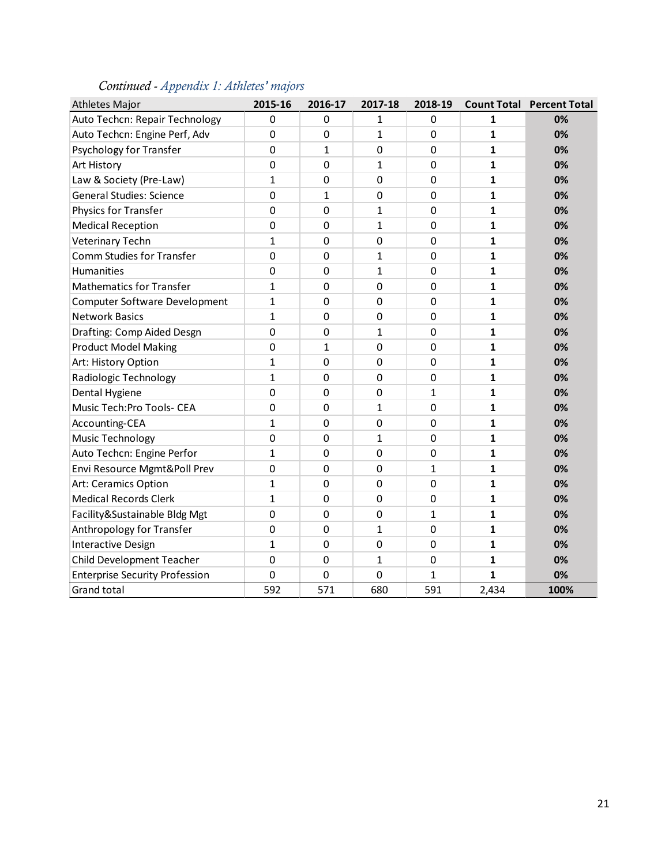| <b>Athletes Major</b>                 | 2015-16      | 2016-17      | 2017-18      | 2018-19        |              | <b>Count Total Percent Total</b> |
|---------------------------------------|--------------|--------------|--------------|----------------|--------------|----------------------------------|
| Auto Techcn: Repair Technology        | $\Omega$     | 0            | 1            | $\Omega$       | 1            | 0%                               |
| Auto Techcn: Engine Perf, Adv         | $\Omega$     | 0            | $\mathbf{1}$ | $\mathbf 0$    | 1            | 0%                               |
| Psychology for Transfer               | $\mathbf 0$  | $\mathbf{1}$ | 0            | $\mathbf 0$    | 1            | 0%                               |
| Art History                           | 0            | 0            | 1            | 0              | 1            | 0%                               |
| Law & Society (Pre-Law)               | $\mathbf{1}$ | 0            | $\mathbf 0$  | $\Omega$       | 1            | 0%                               |
| <b>General Studies: Science</b>       | 0            | $\mathbf{1}$ | 0            | $\mathbf 0$    | $\mathbf{1}$ | 0%                               |
| <b>Physics for Transfer</b>           | 0            | $\mathbf 0$  | $\mathbf{1}$ | $\mathbf 0$    | 1            | 0%                               |
| <b>Medical Reception</b>              | $\mathbf 0$  | 0            | $\mathbf{1}$ | $\mathbf 0$    | 1            | 0%                               |
| Veterinary Techn                      | 1            | $\mathbf 0$  | $\mathbf 0$  | $\overline{0}$ | 1            | 0%                               |
| Comm Studies for Transfer             | $\mathbf 0$  | 0            | $\mathbf{1}$ | $\mathbf 0$    | 1            | 0%                               |
| Humanities                            | $\mathbf 0$  | 0            | $\mathbf{1}$ | $\mathbf 0$    | 1            | 0%                               |
| <b>Mathematics for Transfer</b>       | 1            | 0            | $\mathbf 0$  | $\mathbf 0$    | 1            | 0%                               |
| Computer Software Development         | $\mathbf 1$  | 0            | 0            | $\mathbf 0$    | 1            | 0%                               |
| <b>Network Basics</b>                 | $\mathbf 1$  | $\mathbf 0$  | 0            | $\mathbf 0$    | $\mathbf{1}$ | 0%                               |
| Drafting: Comp Aided Desgn            | $\mathbf 0$  | 0            | $\mathbf{1}$ | $\mathbf 0$    | 1            | 0%                               |
| <b>Product Model Making</b>           | $\mathbf 0$  | $\mathbf{1}$ | 0            | $\mathbf 0$    | 1            | 0%                               |
| Art: History Option                   | $\mathbf 1$  | 0            | 0            | $\mathbf 0$    | 1            | 0%                               |
| Radiologic Technology                 | 1            | 0            | 0            | $\mathbf 0$    | 1            | 0%                               |
| Dental Hygiene                        | $\mathbf 0$  | 0            | 0            | $\mathbf{1}$   | 1            | 0%                               |
| Music Tech: Pro Tools- CEA            | $\mathbf 0$  | 0            | $\mathbf{1}$ | $\mathbf 0$    | 1            | 0%                               |
| Accounting-CEA                        | $\mathbf{1}$ | 0            | 0            | $\mathbf 0$    | 1            | 0%                               |
| <b>Music Technology</b>               | $\mathbf 0$  | 0            | $\mathbf{1}$ | $\mathbf 0$    | 1            | 0%                               |
| Auto Techcn: Engine Perfor            | $\mathbf{1}$ | 0            | 0            | $\mathbf 0$    | 1            | 0%                               |
| Envi Resource Mgmt&Poll Prev          | $\mathbf 0$  | $\mathbf 0$  | $\mathbf 0$  | $\mathbf{1}$   | 1            | 0%                               |
| Art: Ceramics Option                  | $\mathbf{1}$ | 0            | 0            | $\mathbf 0$    | 1            | 0%                               |
| <b>Medical Records Clerk</b>          | 1            | 0            | 0            | $\mathbf 0$    | 1            | 0%                               |
| Facility&Sustainable Bldg Mgt         | $\mathbf 0$  | 0            | 0            | $\mathbf{1}$   | 1            | 0%                               |
| Anthropology for Transfer             | $\mathbf 0$  | 0            | 1            | $\Omega$       | 1            | 0%                               |
| <b>Interactive Design</b>             | $\mathbf{1}$ | 0            | 0            | $\mathbf 0$    | 1            | 0%                               |
| Child Development Teacher             | 0            | 0            | 1            | $\mathbf 0$    | 1            | 0%                               |
| <b>Enterprise Security Profession</b> | 0            | 0            | 0            | $\mathbf{1}$   | 1            | 0%                               |
| <b>Grand total</b>                    | 592          | 571          | 680          | 591            | 2,434        | 100%                             |

## *Continued - Appendix 1: Athletes' majors*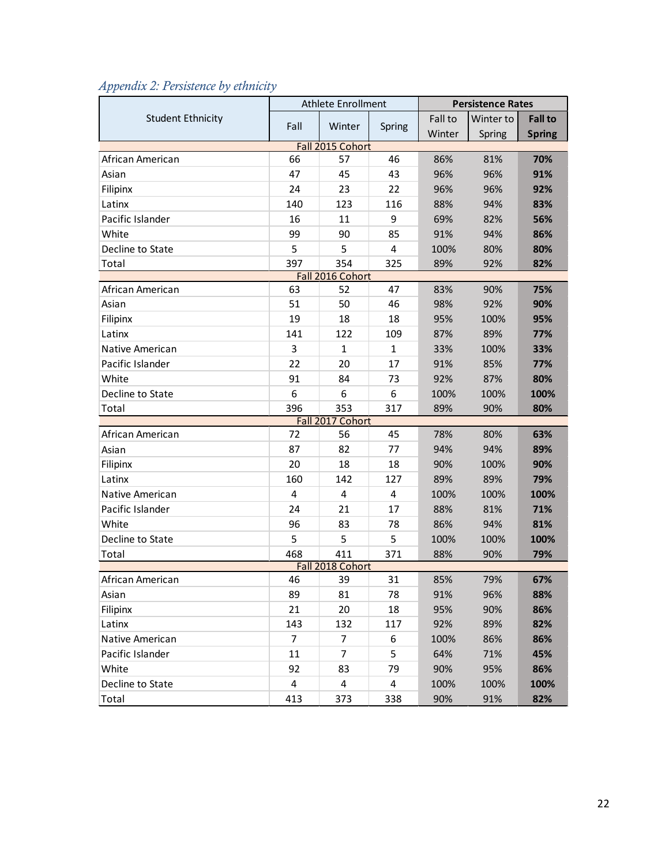|                          |      | <b>Athlete Enrollment</b> |        |                                                                                                                                                                                                                                                                                                                                                    | <b>Persistence Rates</b> |                |  |  |  |  |
|--------------------------|------|---------------------------|--------|----------------------------------------------------------------------------------------------------------------------------------------------------------------------------------------------------------------------------------------------------------------------------------------------------------------------------------------------------|--------------------------|----------------|--|--|--|--|
| <b>Student Ethnicity</b> |      |                           |        | Fall to                                                                                                                                                                                                                                                                                                                                            | Winter to                | <b>Fall to</b> |  |  |  |  |
|                          | Fall | Winter                    | Spring | Winter                                                                                                                                                                                                                                                                                                                                             | Spring                   | <b>Spring</b>  |  |  |  |  |
|                          |      | Fall 2015 Cohort          |        | 86%<br>81%<br>70%<br>96%<br>96%<br>91%<br>96%<br>96%<br>92%<br>88%<br>94%<br>83%<br>69%<br>82%<br>56%<br>91%<br>94%<br>86%<br>100%<br>80%<br>80%<br>89%<br>92%<br>82%<br>83%<br>90%<br>75%<br>98%<br>92%<br>90%<br>95%<br>100%<br>95%<br>87%<br>89%<br>77%<br>33%<br>100%<br>33%<br>77%<br>91%<br>85%<br>92%<br>87%<br>80%<br>100%<br>100%<br>100% |                          |                |  |  |  |  |
| African American         | 66   | 57                        | 46     |                                                                                                                                                                                                                                                                                                                                                    |                          |                |  |  |  |  |
| Asian                    | 47   | 45                        | 43     |                                                                                                                                                                                                                                                                                                                                                    |                          |                |  |  |  |  |
| Filipinx                 | 24   | 23                        | 22     |                                                                                                                                                                                                                                                                                                                                                    |                          |                |  |  |  |  |
| Latinx                   | 140  | 123                       | 116    |                                                                                                                                                                                                                                                                                                                                                    |                          |                |  |  |  |  |
| Pacific Islander         | 16   | 11                        | 9      |                                                                                                                                                                                                                                                                                                                                                    |                          |                |  |  |  |  |
| White                    | 99   | 90                        | 85     |                                                                                                                                                                                                                                                                                                                                                    |                          |                |  |  |  |  |
| Decline to State         | 5    | 5                         | 4      |                                                                                                                                                                                                                                                                                                                                                    |                          |                |  |  |  |  |
| Total                    | 397  | 354                       | 325    |                                                                                                                                                                                                                                                                                                                                                    |                          |                |  |  |  |  |
|                          |      | Fall 2016 Cohort          |        |                                                                                                                                                                                                                                                                                                                                                    |                          |                |  |  |  |  |
| African American         | 63   | 52                        | 47     |                                                                                                                                                                                                                                                                                                                                                    |                          |                |  |  |  |  |
| Asian                    | 51   | 50                        | 46     |                                                                                                                                                                                                                                                                                                                                                    |                          |                |  |  |  |  |
| Filipinx                 | 19   | 18                        | 18     |                                                                                                                                                                                                                                                                                                                                                    |                          |                |  |  |  |  |
| Latinx                   | 141  | 122                       | 109    |                                                                                                                                                                                                                                                                                                                                                    |                          |                |  |  |  |  |
| Native American          | 3    | $\mathbf{1}$              | 1      |                                                                                                                                                                                                                                                                                                                                                    |                          |                |  |  |  |  |
| Pacific Islander         | 22   | 20                        | 17     |                                                                                                                                                                                                                                                                                                                                                    |                          |                |  |  |  |  |
| White                    | 91   | 84                        | 73     |                                                                                                                                                                                                                                                                                                                                                    |                          |                |  |  |  |  |
| Decline to State         | 6    | 6                         | 6      |                                                                                                                                                                                                                                                                                                                                                    |                          |                |  |  |  |  |
| Total                    | 396  | 353                       | 317    | 89%                                                                                                                                                                                                                                                                                                                                                | 90%                      | 80%            |  |  |  |  |
|                          |      | Fall 2017 Cohort          |        |                                                                                                                                                                                                                                                                                                                                                    |                          |                |  |  |  |  |
| African American         | 72   | 56                        | 45     | 78%                                                                                                                                                                                                                                                                                                                                                | 80%                      | 63%            |  |  |  |  |
| Asian                    | 87   | 82                        | 77     | 94%                                                                                                                                                                                                                                                                                                                                                | 94%                      | 89%            |  |  |  |  |
| Filipinx                 | 20   | 18                        | 18     | 90%                                                                                                                                                                                                                                                                                                                                                | 100%                     | 90%            |  |  |  |  |
| Latinx                   | 160  | 142                       | 127    | 89%                                                                                                                                                                                                                                                                                                                                                | 89%                      | 79%            |  |  |  |  |
| Native American          | 4    | 4                         | 4      | 100%                                                                                                                                                                                                                                                                                                                                               | 100%                     | 100%           |  |  |  |  |
| Pacific Islander         | 24   | 21                        | 17     | 88%                                                                                                                                                                                                                                                                                                                                                | 81%                      | 71%            |  |  |  |  |
| White                    | 96   | 83                        | 78     | 86%                                                                                                                                                                                                                                                                                                                                                | 94%                      | 81%            |  |  |  |  |
| Decline to State         | 5    | 5                         | 5      | 100%                                                                                                                                                                                                                                                                                                                                               | 100%                     | 100%           |  |  |  |  |
| Total                    | 468  | 411                       | 371    | 88%                                                                                                                                                                                                                                                                                                                                                | 90%                      | 79%            |  |  |  |  |
|                          |      | Fall 2018 Cohort          |        |                                                                                                                                                                                                                                                                                                                                                    |                          |                |  |  |  |  |
| African American         | 46   | 39                        | 31     | 85%                                                                                                                                                                                                                                                                                                                                                | 79%                      | 67%            |  |  |  |  |
| Asian                    | 89   | 81                        | 78     | 91%                                                                                                                                                                                                                                                                                                                                                | 96%                      | 88%            |  |  |  |  |
| Filipinx                 | 21   | 20                        | 18     | 95%                                                                                                                                                                                                                                                                                                                                                | 90%                      | 86%            |  |  |  |  |
| Latinx                   | 143  | 132                       | 117    | 92%                                                                                                                                                                                                                                                                                                                                                | 89%                      | 82%            |  |  |  |  |
| Native American          | 7    | 7                         | 6      | 100%                                                                                                                                                                                                                                                                                                                                               | 86%                      | 86%            |  |  |  |  |
| Pacific Islander         | 11   | 7                         | 5      | 64%                                                                                                                                                                                                                                                                                                                                                | 71%                      | 45%            |  |  |  |  |
| White                    | 92   | 83                        | 79     | 90%                                                                                                                                                                                                                                                                                                                                                | 95%                      | 86%            |  |  |  |  |
| Decline to State         | 4    | 4                         | 4      | 100%                                                                                                                                                                                                                                                                                                                                               | 100%                     | 100%           |  |  |  |  |
| Total                    | 413  | 373                       | 338    | 90%                                                                                                                                                                                                                                                                                                                                                | 91%                      | 82%            |  |  |  |  |

#### <span id="page-21-0"></span>*Appendix 2: Persistence by ethnicity*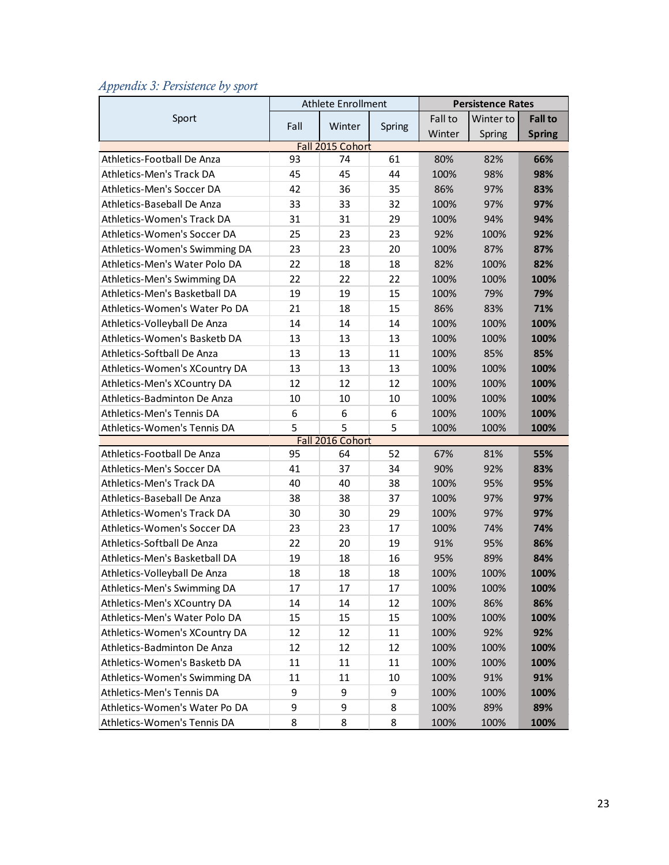|                               |      | <b>Athlete Enrollment</b> |        | <b>Persistence Rates</b> |           |                |
|-------------------------------|------|---------------------------|--------|--------------------------|-----------|----------------|
| Sport                         |      |                           |        | Fall to                  | Winter to | <b>Fall to</b> |
|                               | Fall | Winter                    | Spring | Winter                   | Spring    | <b>Spring</b>  |
|                               |      | Fall 2015 Cohort          |        |                          |           |                |
| Athletics-Football De Anza    | 93   | 74                        | 61     | 80%                      | 82%       | 66%            |
| Athletics-Men's Track DA      | 45   | 45                        | 44     | 100%                     | 98%       | 98%            |
| Athletics-Men's Soccer DA     | 42   | 36                        | 35     | 86%                      | 97%       | 83%            |
| Athletics-Baseball De Anza    | 33   | 33                        | 32     | 100%                     | 97%       | 97%            |
| Athletics-Women's Track DA    | 31   | 31                        | 29     | 100%                     | 94%       | 94%            |
| Athletics-Women's Soccer DA   | 25   | 23                        | 23     | 92%                      | 100%      | 92%            |
| Athletics-Women's Swimming DA | 23   | 23                        | 20     | 100%                     | 87%       | 87%            |
| Athletics-Men's Water Polo DA | 22   | 18                        | 18     | 82%                      | 100%      | 82%            |
| Athletics-Men's Swimming DA   | 22   | 22                        | 22     | 100%                     | 100%      | 100%           |
| Athletics-Men's Basketball DA | 19   | 19                        | 15     | 100%                     | 79%       | 79%            |
| Athletics-Women's Water Po DA | 21   | 18                        | 15     | 86%                      | 83%       | 71%            |
| Athletics-Volleyball De Anza  | 14   | 14                        | 14     | 100%                     | 100%      | 100%           |
| Athletics-Women's Basketb DA  | 13   | 13                        | 13     | 100%                     | 100%      | 100%           |
| Athletics-Softball De Anza    | 13   | 13                        | 11     | 100%                     | 85%       | 85%            |
| Athletics-Women's XCountry DA | 13   | 13                        | 13     | 100%                     | 100%      | 100%           |
| Athletics-Men's XCountry DA   | 12   | 12                        | 12     | 100%                     | 100%      | 100%           |
| Athletics-Badminton De Anza   | 10   | 10                        | 10     | 100%                     | 100%      | 100%           |
| Athletics-Men's Tennis DA     | 6    | 6                         | 6      | 100%                     | 100%      | 100%           |
| Athletics-Women's Tennis DA   | 5    | 5                         | 5      | 100%                     | 100%      | 100%           |
|                               |      | Fall 2016 Cohort          |        |                          |           |                |
| Athletics-Football De Anza    | 95   | 64                        | 52     | 67%                      | 81%       | 55%            |
| Athletics-Men's Soccer DA     | 41   | 37                        | 34     | 90%                      | 92%       | 83%            |
| Athletics-Men's Track DA      | 40   | 40                        | 38     | 100%                     | 95%       | 95%            |
| Athletics-Baseball De Anza    | 38   | 38                        | 37     | 100%                     | 97%       | 97%            |
| Athletics-Women's Track DA    | 30   | 30                        | 29     | 100%                     | 97%       | 97%            |
| Athletics-Women's Soccer DA   | 23   | 23                        | 17     | 100%                     | 74%       | 74%            |
| Athletics-Softball De Anza    | 22   | 20                        | 19     | 91%                      | 95%       | 86%            |
| Athletics-Men's Basketball DA | 19   | 18                        | 16     | 95%                      | 89%       | 84%            |
| Athletics-Volleyball De Anza  | 18   | 18                        | 18     | 100%                     | 100%      | 100%           |
| Athletics-Men's Swimming DA   | 17   | 17                        | 17     | 100%                     | 100%      | 100%           |
| Athletics-Men's XCountry DA   | 14   | 14                        | 12     | 100%                     | 86%       | 86%            |
| Athletics-Men's Water Polo DA | 15   | 15                        | 15     | 100%                     | 100%      | 100%           |
| Athletics-Women's XCountry DA | 12   | 12                        | 11     | 100%                     | 92%       | 92%            |
| Athletics-Badminton De Anza   | 12   | 12                        | 12     | 100%                     | 100%      | 100%           |
| Athletics-Women's Basketb DA  | 11   | 11                        | 11     | 100%                     | 100%      | 100%           |
| Athletics-Women's Swimming DA | 11   | 11                        | 10     | 100%                     | 91%       | 91%            |
| Athletics-Men's Tennis DA     | 9    | 9                         | 9      | 100%                     | 100%      | 100%           |
| Athletics-Women's Water Po DA | 9    | 9                         | 8      | 100%                     | 89%       | 89%            |
| Athletics-Women's Tennis DA   | 8    | 8                         | 8      | 100%                     | 100%      | 100%           |

## <span id="page-22-0"></span>*Appendix 3: Persistence by sport*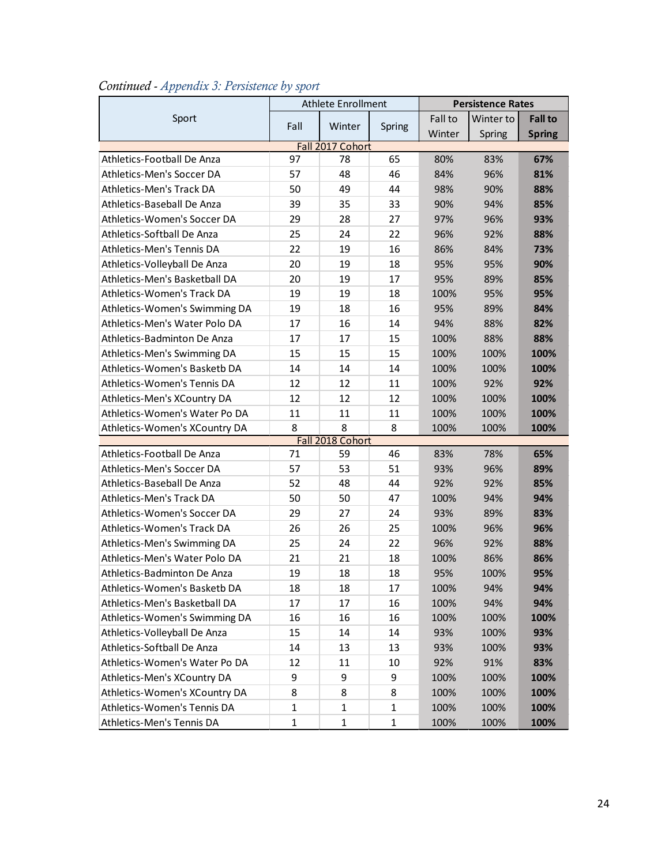|                               |              | <b>Athlete Enrollment</b> |        |         | <b>Persistence Rates</b> |                |  |
|-------------------------------|--------------|---------------------------|--------|---------|--------------------------|----------------|--|
| Sport                         |              | Winter                    |        | Fall to | Winter to                | <b>Fall to</b> |  |
|                               | Fall         |                           | Spring | Winter  | <b>Spring</b>            | <b>Spring</b>  |  |
|                               |              | Fall 2017 Cohort          |        |         |                          |                |  |
| Athletics-Football De Anza    | 97           | 78                        | 65     | 80%     | 83%                      | 67%            |  |
| Athletics-Men's Soccer DA     | 57           | 48                        | 46     | 84%     | 96%                      | 81%            |  |
| Athletics-Men's Track DA      | 50           | 49                        | 44     | 98%     | 90%                      | 88%            |  |
| Athletics-Baseball De Anza    | 39           | 35                        | 33     | 90%     | 94%                      | 85%            |  |
| Athletics-Women's Soccer DA   | 29           | 28                        | 27     | 97%     | 96%                      | 93%            |  |
| Athletics-Softball De Anza    | 25           | 24                        | 22     | 96%     | 92%                      | 88%            |  |
| Athletics-Men's Tennis DA     | 22           | 19                        | 16     | 86%     | 84%                      | 73%            |  |
| Athletics-Volleyball De Anza  | 20           | 19                        | 18     | 95%     | 95%                      | 90%            |  |
| Athletics-Men's Basketball DA | 20           | 19                        | 17     | 95%     | 89%                      | 85%            |  |
| Athletics-Women's Track DA    | 19           | 19                        | 18     | 100%    | 95%                      | 95%            |  |
| Athletics-Women's Swimming DA | 19           | 18                        | 16     | 95%     | 89%                      | 84%            |  |
| Athletics-Men's Water Polo DA | 17           | 16                        | 14     | 94%     | 88%                      | 82%            |  |
| Athletics-Badminton De Anza   | 17           | 17                        | 15     | 100%    | 88%                      | 88%            |  |
| Athletics-Men's Swimming DA   | 15           | 15                        | 15     | 100%    | 100%                     | 100%           |  |
| Athletics-Women's Basketb DA  | 14           | 14                        | 14     | 100%    | 100%                     | 100%           |  |
| Athletics-Women's Tennis DA   | 12           | 12                        | 11     | 100%    | 92%                      | 92%            |  |
| Athletics-Men's XCountry DA   | 12           | 12                        | 12     | 100%    | 100%                     | 100%           |  |
| Athletics-Women's Water Po DA | 11           | 11                        | 11     | 100%    | 100%                     | 100%           |  |
| Athletics-Women's XCountry DA | 8            | 8                         | 8      | 100%    | 100%                     | 100%           |  |
|                               |              | Fall 2018 Cohort          |        |         |                          |                |  |
| Athletics-Football De Anza    | 71           | 59                        | 46     | 83%     | 78%                      | 65%            |  |
| Athletics-Men's Soccer DA     | 57           | 53                        | 51     | 93%     | 96%                      | 89%            |  |
| Athletics-Baseball De Anza    | 52           | 48                        | 44     | 92%     | 92%                      | 85%            |  |
| Athletics-Men's Track DA      | 50           | 50                        | 47     | 100%    | 94%                      | 94%            |  |
| Athletics-Women's Soccer DA   | 29           | 27                        | 24     | 93%     | 89%                      | 83%            |  |
| Athletics-Women's Track DA    | 26           | 26                        | 25     | 100%    | 96%                      | 96%            |  |
| Athletics-Men's Swimming DA   | 25           | 24                        | 22     | 96%     | 92%                      | 88%            |  |
| Athletics-Men's Water Polo DA | 21           | 21                        | 18     | 100%    | 86%                      | 86%            |  |
| Athletics-Badminton De Anza   | 19           | 18                        | 18     | 95%     | 100%                     | 95%            |  |
| Athletics-Women's Basketb DA  | 18           | 18                        | 17     | 100%    | 94%                      | 94%            |  |
| Athletics-Men's Basketball DA | 17           | 17                        | 16     | 100%    | 94%                      | 94%            |  |
| Athletics-Women's Swimming DA | 16           | 16                        | 16     | 100%    | 100%                     | 100%           |  |
| Athletics-Volleyball De Anza  | 15           | 14                        | 14     | 93%     | 100%                     | 93%            |  |
| Athletics-Softball De Anza    | 14           | 13                        | 13     | 93%     | 100%                     | 93%            |  |
| Athletics-Women's Water Po DA | 12           | 11                        | 10     | 92%     | 91%                      | 83%            |  |
| Athletics-Men's XCountry DA   | 9            | 9                         | 9      | 100%    | 100%                     | 100%           |  |
| Athletics-Women's XCountry DA | 8            | 8                         | 8      | 100%    | 100%                     | 100%           |  |
| Athletics-Women's Tennis DA   | $\mathbf 1$  | $\mathbf{1}$              | 1      | 100%    | 100%                     | 100%           |  |
| Athletics-Men's Tennis DA     | $\mathbf{1}$ | $\mathbf{1}$              | 1      | 100%    | 100%                     | 100%           |  |

# *Continued - Appendix 3: Persistence by sport*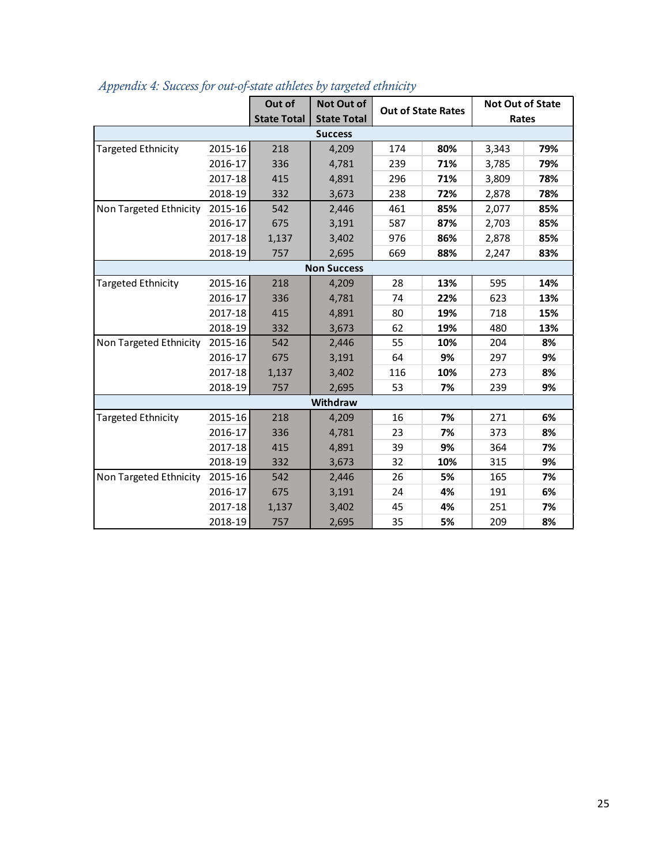|                           |         | Out of<br><b>State Total</b> | Not Out of<br><b>State Total</b> | <b>Out of State Rates</b> |     | <b>Not Out of State</b><br>Rates |     |  |  |
|---------------------------|---------|------------------------------|----------------------------------|---------------------------|-----|----------------------------------|-----|--|--|
|                           |         |                              | <b>Success</b>                   |                           |     |                                  |     |  |  |
| <b>Targeted Ethnicity</b> | 2015-16 | 218                          | 4,209                            | 174                       | 80% | 3,343                            | 79% |  |  |
|                           | 2016-17 | 336                          | 4,781                            | 239                       | 71% | 3,785                            | 79% |  |  |
|                           | 2017-18 | 415                          | 4,891                            | 296                       | 71% | 3,809                            | 78% |  |  |
|                           | 2018-19 | 332                          | 3,673                            | 238                       | 72% | 2,878                            | 78% |  |  |
| Non Targeted Ethnicity    | 2015-16 | 542                          | 2,446                            | 461                       | 85% | 2,077                            | 85% |  |  |
|                           | 2016-17 | 675                          | 3,191                            | 587                       | 87% | 2,703                            | 85% |  |  |
|                           | 2017-18 | 1,137                        | 3,402                            | 976                       | 86% | 2,878                            | 85% |  |  |
|                           | 2018-19 | 757                          | 2,695                            | 669                       | 88% | 2,247                            | 83% |  |  |
| <b>Non Success</b>        |         |                              |                                  |                           |     |                                  |     |  |  |
| <b>Targeted Ethnicity</b> | 2015-16 | 218                          | 4,209                            | 28                        | 13% | 595                              | 14% |  |  |
|                           | 2016-17 | 336                          | 4,781                            | 74                        | 22% | 623                              | 13% |  |  |
|                           | 2017-18 | 415                          | 4,891                            | 80                        | 19% | 718                              | 15% |  |  |
|                           | 2018-19 | 332                          | 3,673                            | 62                        | 19% | 480                              | 13% |  |  |
| Non Targeted Ethnicity    | 2015-16 | 542                          | 2,446                            | 55                        | 10% | 204                              | 8%  |  |  |
|                           | 2016-17 | 675                          | 3,191                            | 64                        | 9%  | 297                              | 9%  |  |  |
|                           | 2017-18 | 1,137                        | 3,402                            | 116                       | 10% | 273                              | 8%  |  |  |
|                           | 2018-19 | 757                          | 2,695                            | 53                        | 7%  | 239                              | 9%  |  |  |
|                           |         |                              | Withdraw                         |                           |     |                                  |     |  |  |
| <b>Targeted Ethnicity</b> | 2015-16 | 218                          | 4,209                            | 16                        | 7%  | 271                              | 6%  |  |  |
|                           | 2016-17 | 336                          | 4,781                            | 23                        | 7%  | 373                              | 8%  |  |  |
|                           | 2017-18 | 415                          | 4,891                            | 39                        | 9%  | 364                              | 7%  |  |  |
|                           | 2018-19 | 332                          | 3,673                            | 32                        | 10% | 315                              | 9%  |  |  |
| Non Targeted Ethnicity    | 2015-16 | 542                          | 2,446                            | 26                        | 5%  | 165                              | 7%  |  |  |
|                           | 2016-17 | 675                          | 3,191                            | 24                        | 4%  | 191                              | 6%  |  |  |
|                           | 2017-18 | 1,137                        | 3,402                            | 45                        | 4%  | 251                              | 7%  |  |  |
|                           | 2018-19 | 757                          | 2,695                            | 35                        | 5%  | 209                              | 8%  |  |  |

# <span id="page-24-0"></span>*Appendix 4: Success for out-of-state athletes by targeted ethnicity*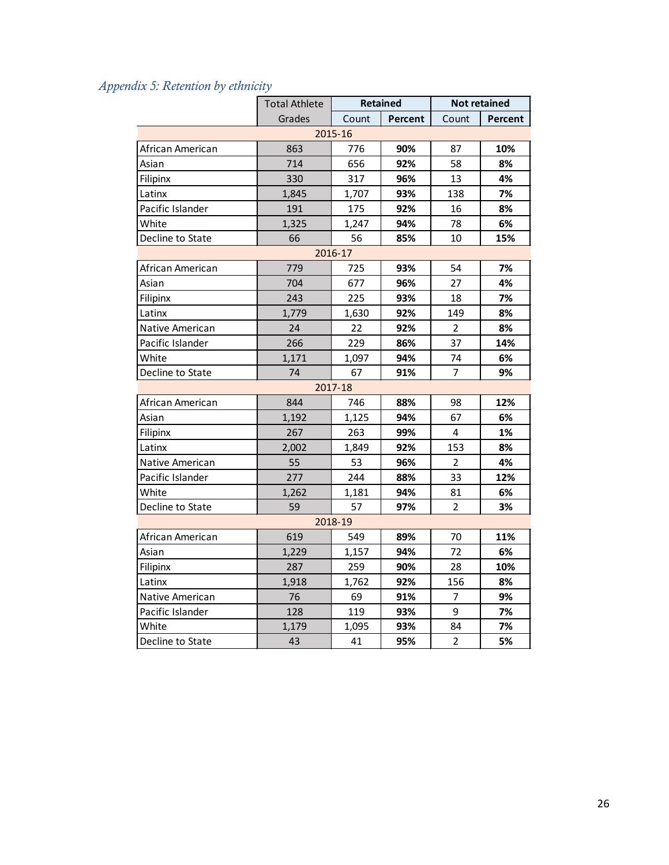<span id="page-25-0"></span>

|  | Appendix 5: Retention by ethnicity |  |
|--|------------------------------------|--|
|  |                                    |  |

|                  | <b>Total Athlete</b> | <b>Retained</b> |         | <b>Not retained</b> |         |  |  |  |
|------------------|----------------------|-----------------|---------|---------------------|---------|--|--|--|
|                  | Grades               | Count           | Percent | Count               | Percent |  |  |  |
| 2015-16          |                      |                 |         |                     |         |  |  |  |
| African American | 863                  | 776             | 90%     | 87                  | 10%     |  |  |  |
| Asian            | 714                  | 656             | 92%     | 58                  | 8%      |  |  |  |
| Filipinx         | 330                  | 317             | 96%     | 13                  | 4%      |  |  |  |
| Latinx           | 1,845                | 1,707           | 93%     | 138                 | 7%      |  |  |  |
| Pacific Islander | 191                  | 175             | 92%     | 16                  | 8%      |  |  |  |
| White            | 1,325                | 1,247           | 94%     | 78                  | 6%      |  |  |  |
| Decline to State | 66                   | 56              | 85%     | 10                  | 15%     |  |  |  |
| 2016-17          |                      |                 |         |                     |         |  |  |  |
| African American | 779                  | 725             | 93%     | 54                  | 7%      |  |  |  |
| Asian            | 704                  | 677             | 96%     | 27                  | 4%      |  |  |  |
| Filipinx         | 243                  | 225             | 93%     | 18                  | 7%      |  |  |  |
| Latinx           | 1,779                | 1,630           | 92%     | 149                 | 8%      |  |  |  |
| Native American  | 24                   | 22              | 92%     | $\overline{2}$      | 8%      |  |  |  |
| Pacific Islander | 266                  | 229             | 86%     | 37                  | 14%     |  |  |  |
| White            | 1,171                | 1,097           | 94%     | 74                  | 6%      |  |  |  |
| Decline to State | 74                   | 67              | 91%     | 7                   | 9%      |  |  |  |
|                  |                      | 2017-18         |         |                     |         |  |  |  |
| African American | 844                  | 746             | 88%     | 98                  | 12%     |  |  |  |
| Asian            | 1,192                | 1,125           | 94%     | 67                  | 6%      |  |  |  |
| Filipinx         | 267                  | 263             | 99%     | 4                   | 1%      |  |  |  |
| Latinx           | 2,002                | 1,849           | 92%     | 153                 | 8%      |  |  |  |
| Native American  | 55                   | 53              | 96%     | $\overline{2}$      | 4%      |  |  |  |
| Pacific Islander | 277                  | 244             | 88%     | 33                  | 12%     |  |  |  |
| White            | 1,262                | 1,181           | 94%     | 81                  | 6%      |  |  |  |
| Decline to State | 59                   | 57              | 97%     | $\overline{2}$      | 3%      |  |  |  |
|                  |                      | 2018-19         |         |                     |         |  |  |  |
| African American | 619                  | 549             | 89%     | 70                  | 11%     |  |  |  |
| Asian            | 1,229                | 1,157           | 94%     | 72                  | 6%      |  |  |  |
| Filipinx         | 287                  | 259             | 90%     | 28                  | 10%     |  |  |  |
| Latinx           | 1,918                | 1,762           | 92%     | 156                 | 8%      |  |  |  |
| Native American  | 76                   | 69              | 91%     | 7                   | 9%      |  |  |  |
| Pacific Islander | 128                  | 119             | 93%     | 9                   | 7%      |  |  |  |
| White            | 1,179                | 1,095           | 93%     | 84                  | 7%      |  |  |  |
| Decline to State | 43                   | 41              | 95%     | $\overline{2}$      | 5%      |  |  |  |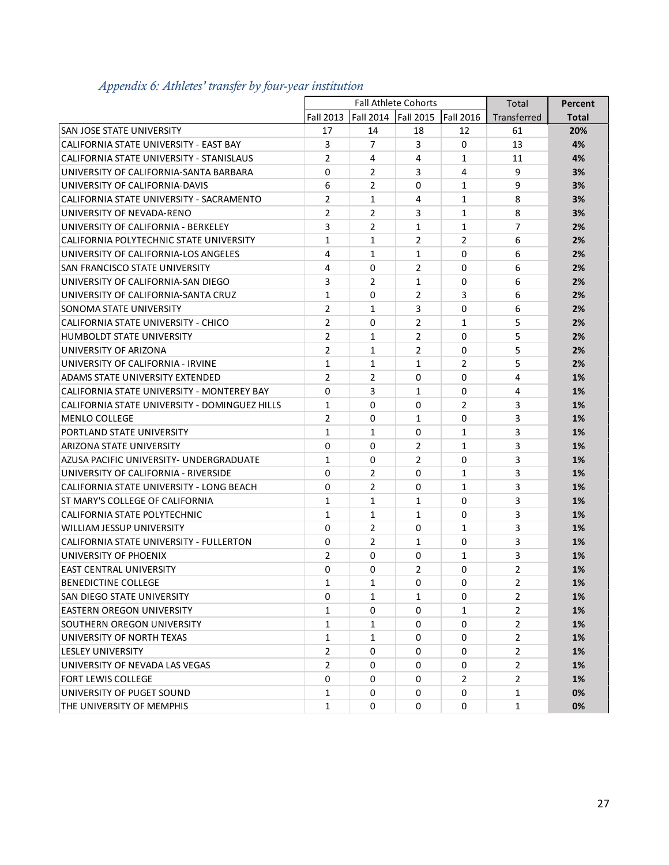<span id="page-26-0"></span>

|                                               | <b>Fall Athlete Cohorts</b> |                  |                  |                  | Total          | Percent   |
|-----------------------------------------------|-----------------------------|------------------|------------------|------------------|----------------|-----------|
|                                               | Fall 2013                   | <b>Fall 2014</b> | <b>Fall 2015</b> | <b>Fall 2016</b> | Transferred    | Total     |
| SAN JOSE STATE UNIVERSITY                     | 17                          | 14               | 18               | 12               | 61             | 20%       |
| CALIFORNIA STATE UNIVERSITY - EAST BAY        | 3                           | 7                | 3                | 0                | 13             | 4%        |
| CALIFORNIA STATE UNIVERSITY - STANISLAUS      | $\overline{2}$              | 4                | 4                | $\mathbf{1}$     | 11             | 4%        |
| UNIVERSITY OF CALIFORNIA-SANTA BARBARA        | 0                           | $\overline{2}$   | 3                | 4                | 9              | 3%        |
| UNIVERSITY OF CALIFORNIA-DAVIS                | 6                           | 2                | $\Omega$         | $\mathbf{1}$     | 9              | 3%        |
| CALIFORNIA STATE UNIVERSITY - SACRAMENTO      | $\overline{2}$              | $\mathbf{1}$     | 4                | $\mathbf{1}$     | 8              | 3%        |
| UNIVERSITY OF NEVADA-RENO                     | 2                           | 2                | 3                | $\mathbf{1}$     | 8              | 3%        |
| UNIVERSITY OF CALIFORNIA - BERKELEY           | 3                           | 2                | 1                | $\mathbf{1}$     | 7              | 2%        |
| CALIFORNIA POLYTECHNIC STATE UNIVERSITY       | 1                           | 1                | $\overline{2}$   | $\overline{2}$   | 6              | 2%        |
| UNIVERSITY OF CALIFORNIA-LOS ANGELES          | 4                           | $\mathbf{1}$     | 1                | $\Omega$         | 6              | 2%        |
| <b>SAN FRANCISCO STATE UNIVERSITY</b>         | 4                           | 0                | $\overline{2}$   | 0                | 6              | 2%        |
| UNIVERSITY OF CALIFORNIA-SAN DIEGO            | 3                           | 2                | $\mathbf{1}$     | 0                | 6              | 2%        |
| UNIVERSITY OF CALIFORNIA-SANTA CRUZ           | $\mathbf{1}$                | 0                | $\overline{2}$   | 3                | 6              | 2%        |
| SONOMA STATE UNIVERSITY                       | 2                           | $\mathbf{1}$     | 3                | $\mathbf 0$      | 6              | 2%        |
| CALIFORNIA STATE UNIVERSITY - CHICO           | $\overline{2}$              | 0                | $\overline{2}$   | $\mathbf{1}$     | 5              | 2%        |
| <b>HUMBOLDT STATE UNIVERSITY</b>              | $\overline{2}$              | 1                | $\overline{2}$   | 0                | 5              | 2%        |
| UNIVERSITY OF ARIZONA                         | $\overline{2}$              | 1                | $\overline{2}$   | 0                | 5              | 2%        |
| UNIVERSITY OF CALIFORNIA - IRVINE             | 1                           | $\mathbf{1}$     | $\mathbf{1}$     | 2                | 5              | 2%        |
| ADAMS STATE UNIVERSITY EXTENDED               | $\overline{2}$              | 2                | 0                | 0                | 4              | 1%        |
| CALIFORNIA STATE UNIVERSITY - MONTEREY BAY    | 0                           | 3                | $\mathbf{1}$     | 0                | 4              | 1%        |
| CALIFORNIA STATE UNIVERSITY - DOMINGUEZ HILLS | 1                           | $\Omega$         | $\Omega$         | $\overline{2}$   | 3              | 1%        |
| <b>MENLO COLLEGE</b>                          | 2                           | $\Omega$         | $\mathbf{1}$     | 0                | 3              | 1%        |
| <b>PORTLAND STATE UNIVERSITY</b>              | 1                           | 1                | $\Omega$         | $\mathbf{1}$     | 3              | 1%        |
| <b>ARIZONA STATE UNIVERSITY</b>               | 0                           | 0                | $\overline{2}$   | $\mathbf{1}$     | 3              | 1%        |
| AZUSA PACIFIC UNIVERSITY- UNDERGRADUATE       | $\mathbf{1}$                | 0                | $\overline{2}$   | 0                | 3              | 1%        |
| UNIVERSITY OF CALIFORNIA - RIVERSIDE          | 0                           | 2                | $\Omega$         | $\mathbf{1}$     | 3              | 1%        |
| CALIFORNIA STATE UNIVERSITY - LONG BEACH      | 0                           | $\overline{2}$   | $\Omega$         | $\mathbf{1}$     | 3              | 1%        |
| ST MARY'S COLLEGE OF CALIFORNIA               | 1                           | 1                | 1                | 0                | 3              | 1%        |
| CALIFORNIA STATE POLYTECHNIC                  | 1                           | 1                | 1                | 0                | 3              | 1%        |
| <b>WILLIAM JESSUP UNIVERSITY</b>              | 0                           | 2                | $\Omega$         | $\mathbf{1}$     | 3              | 1%        |
| CALIFORNIA STATE UNIVERSITY - FULLERTON       | 0                           | 2                | $\mathbf{1}$     | 0                | 3              | 1%        |
| UNIVERSITY OF PHOENIX                         | 2                           | 0                | $\Omega$         | $\mathbf{1}$     | 3              | 1%        |
| <b>EAST CENTRAL UNIVERSITY</b>                | 0                           | $\Omega$         | $\overline{2}$   | 0                | $\overline{2}$ | 1%        |
| <b>BENEDICTINE COLLEGE</b>                    | $\mathbf{1}$                | $\mathbf{1}$     | 0                | 0                | $\overline{2}$ | $1\%$     |
| SAN DIEGO STATE UNIVERSITY                    | 0                           | $\mathbf{1}$     | $\mathbf{1}$     | 0                | $\overline{2}$ | <b>1%</b> |
| IEASTERN OREGON UNIVERSITY                    | 1                           | 0                | 0                | $\mathbf{1}$     | $\overline{2}$ | 1%        |
| SOUTHERN OREGON UNIVERSITY                    | 1                           | 1                | 0                | 0                | $\overline{2}$ | 1%        |
| UNIVERSITY OF NORTH TEXAS                     | $\mathbf{1}$                | 1                | 0                | 0                | $\overline{2}$ | 1%        |
| LESLEY UNIVERSITY                             | 2                           | 0                | 0                | 0                | 2              | 1%        |
| UNIVERSITY OF NEVADA LAS VEGAS                | 2                           | 0                | 0                | 0                | $\overline{2}$ | 1%        |
| <b>FORT LEWIS COLLEGE</b>                     | 0                           | 0                | 0                | 2                | $\overline{2}$ | 1%        |
| UNIVERSITY OF PUGET SOUND                     | 1                           | 0                | 0                | 0                | $\mathbf{1}$   | 0%        |
| THE UNIVERSITY OF MEMPHIS                     | 1                           | 0                | 0                | 0                | $\mathbf{1}$   | 0%        |

## *Appendix 6: Athletes' transfer by four-year institution*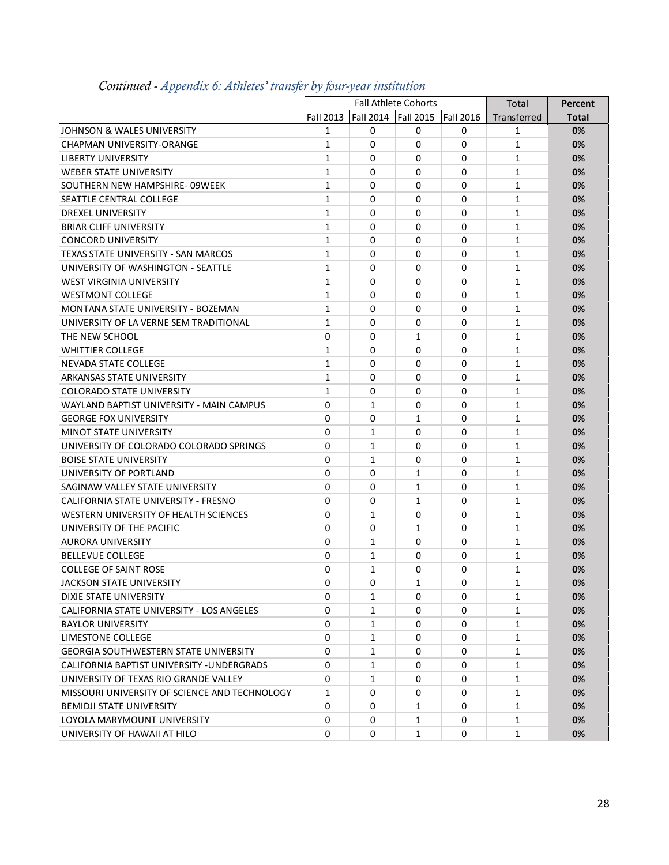|                                               | <b>Fall Athlete Cohorts</b> |                  |                  | Total            | Percent      |       |
|-----------------------------------------------|-----------------------------|------------------|------------------|------------------|--------------|-------|
|                                               | Fall 2013                   | <b>Fall 2014</b> | <b>Fall 2015</b> | <b>Fall 2016</b> | Transferred  | Total |
| JOHNSON & WALES UNIVERSITY                    | 1                           | 0                | $\Omega$         | $\Omega$         | 1            | 0%    |
| CHAPMAN UNIVERSITY-ORANGE                     | $\mathbf{1}$                | 0                | 0                | $\mathbf 0$      | $\mathbf{1}$ | 0%    |
| LIBERTY UNIVERSITY                            | 1                           | 0                | $\Omega$         | 0                | $\mathbf{1}$ | 0%    |
| <b>WEBER STATE UNIVERSITY</b>                 | $\mathbf{1}$                | 0                | $\Omega$         | $\Omega$         | $\mathbf{1}$ | 0%    |
| SOUTHERN NEW HAMPSHIRE-09WEEK                 | 1                           | 0                | 0                | $\Omega$         | $\mathbf{1}$ | 0%    |
| SEATTLE CENTRAL COLLEGE                       | 1                           | 0                | 0                | $\Omega$         | 1            | 0%    |
| <b>DREXEL UNIVERSITY</b>                      | 1                           | 0                | 0                | 0                | $\mathbf{1}$ | 0%    |
| <b>BRIAR CLIFF UNIVERSITY</b>                 | 1                           | 0                | $\Omega$         | 0                | $\mathbf{1}$ | 0%    |
| <b>CONCORD UNIVERSITY</b>                     | 1                           | 0                | 0                | 0                | $\mathbf{1}$ | 0%    |
| TEXAS STATE UNIVERSITY - SAN MARCOS           | 1                           | 0                | $\Omega$         | 0                | $\mathbf{1}$ | 0%    |
| UNIVERSITY OF WASHINGTON - SEATTLE            | 1                           | 0                | 0                | $\mathbf 0$      | 1            | 0%    |
| <b>WEST VIRGINIA UNIVERSITY</b>               | $\mathbf{1}$                | 0                | $\Omega$         | 0                | $\mathbf{1}$ | 0%    |
| <b>WESTMONT COLLEGE</b>                       | 1                           | 0                | $\Omega$         | $\Omega$         | $\mathbf{1}$ | 0%    |
| MONTANA STATE UNIVERSITY - BOZEMAN            | 1                           | 0                | $\Omega$         | 0                | $\mathbf{1}$ | 0%    |
| UNIVERSITY OF LA VERNE SEM TRADITIONAL        | 1                           | 0                | $\Omega$         | 0                | $\mathbf{1}$ | 0%    |
| THE NEW SCHOOL                                | 0                           | 0                | 1                | 0                | $\mathbf{1}$ | 0%    |
| <b>WHITTIER COLLEGE</b>                       | 1                           | 0                | 0                | 0                | $\mathbf{1}$ | 0%    |
| NEVADA STATE COLLEGE                          | 1                           | 0                | 0                | 0                | $\mathbf{1}$ | 0%    |
| <b>ARKANSAS STATE UNIVERSITY</b>              | 1                           | 0                | $\Omega$         | $\Omega$         | $\mathbf{1}$ | 0%    |
| COLORADO STATE UNIVERSITY                     | 1                           | 0                | 0                | $\Omega$         | $\mathbf{1}$ | 0%    |
| WAYLAND BAPTIST UNIVERSITY - MAIN CAMPUS      | 0                           | $\mathbf{1}$     | $\Omega$         | $\Omega$         | $\mathbf{1}$ | 0%    |
| <b>GEORGE FOX UNIVERSITY</b>                  | 0                           | 0                | 1                | 0                | 1            | 0%    |
| <b>MINOT STATE UNIVERSITY</b>                 | 0                           | 1                | $\Omega$         | $\Omega$         | 1            | 0%    |
| UNIVERSITY OF COLORADO COLORADO SPRINGS       | 0                           | $\mathbf{1}$     | $\Omega$         | $\Omega$         | $\mathbf{1}$ | 0%    |
| <b>BOISE STATE UNIVERSITY</b>                 | 0                           | 1                | $\Omega$         | $\Omega$         | $\mathbf{1}$ | 0%    |
| UNIVERSITY OF PORTLAND                        | 0                           | 0                | $\mathbf{1}$     | $\Omega$         | $\mathbf{1}$ | 0%    |
| SAGINAW VALLEY STATE UNIVERSITY               | 0                           | 0                | 1                | $\Omega$         | $\mathbf{1}$ | 0%    |
| ICALIFORNIA STATE UNIVERSITY - FRESNO         | 0                           | 0                | 1                | $\Omega$         | 1            | 0%    |
| <b>WESTERN UNIVERSITY OF HEALTH SCIENCES</b>  | 0                           | 1                | 0                | 0                | $\mathbf{1}$ | 0%    |
| UNIVERSITY OF THE PACIFIC                     | 0                           | 0                | 1                | 0                | $\mathbf{1}$ | 0%    |
| IAURORA UNIVERSITY                            | 0                           | 1                | 0                | 0                | $\mathbf{1}$ | 0%    |
| <b>BELLEVUE COLLEGE</b>                       | 0                           | 1                | $\Omega$         | $\Omega$         | 1            | 0%    |
| <b>COLLEGE OF SAINT ROSE</b>                  | 0                           | 1                | 0                | 0                | $\mathbf{1}$ | 0%    |
| JACKSON STATE UNIVERSITY                      | 0                           | $\pmb{0}$        | $\mathbf{1}$     | $\pmb{0}$        | 1            | $0\%$ |
| DIXIE STATE UNIVERSITY                        | 0                           | 1                | 0                | $\Omega$         | $\mathbf{1}$ | 0%    |
| CALIFORNIA STATE UNIVERSITY - LOS ANGELES     | 0                           | 1                | 0                | 0                | $\mathbf{1}$ | 0%    |
| BAYLOR UNIVERSITY                             | 0                           | 1                | $\Omega$         | 0                | $\mathbf{1}$ | 0%    |
| LIMESTONE COLLEGE                             | 0                           | 1                | 0                | 0                | $\mathbf{1}$ | 0%    |
| GEORGIA SOUTHWESTERN STATE UNIVERSITY         | 0                           | 1                | 0                | 0                | $\mathbf{1}$ | 0%    |
| CALIFORNIA BAPTIST UNIVERSITY -UNDERGRADS     | 0                           | 1                | 0                | 0                | $\mathbf{1}$ | 0%    |
| UNIVERSITY OF TEXAS RIO GRANDE VALLEY         | 0                           | 1                | 0                | 0                | 1            | 0%    |
| MISSOURI UNIVERSITY OF SCIENCE AND TECHNOLOGY | 1                           | 0                | 0                | 0                | $\mathbf{1}$ | 0%    |
| BEMIDJI STATE UNIVERSITY                      | 0                           | 0                | 1                | 0                | $\mathbf{1}$ | 0%    |
| LOYOLA MARYMOUNT UNIVERSITY                   | 0                           | 0                | 1                | 0                | $\mathbf{1}$ | 0%    |
| UNIVERSITY OF HAWAII AT HILO                  | 0                           | 0                | $\mathbf{1}$     | 0                | $\mathbf{1}$ | 0%    |
|                                               |                             |                  |                  |                  |              |       |

## *Continued - Appendix 6: Athletes' transfer by four-year institution*